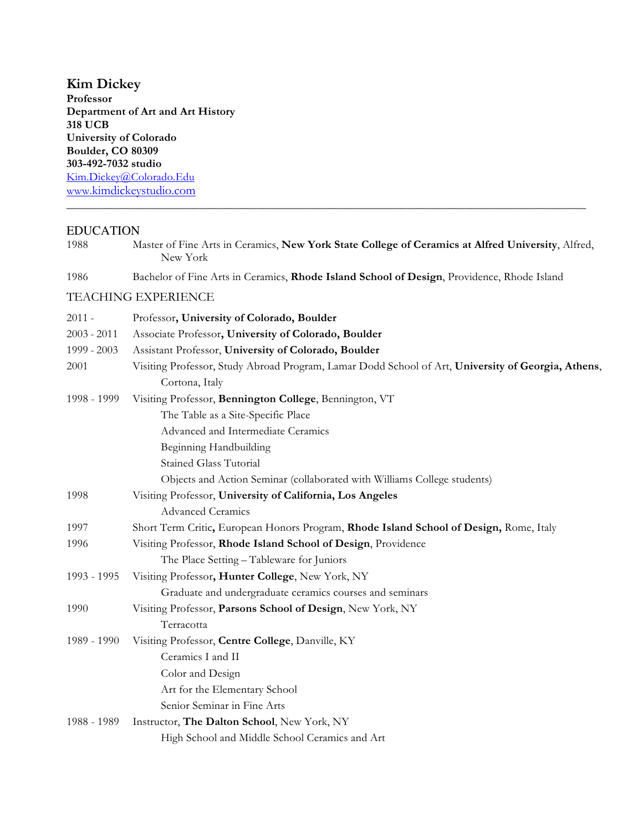**Kim Dickey Professor Department of Art and Art History 318 UCB University of Colorado Boulder, CO 80309 303-492-7032 studio** Kim.Dickey@Colorado.Edu www.kimdickeystudio.com

## EDUCATION

| 1988          | Master of Fine Arts in Ceramics, New York State College of Ceramics at Alfred University, Alfred,<br>New York        |
|---------------|----------------------------------------------------------------------------------------------------------------------|
| 1986          | Bachelor of Fine Arts in Ceramics, Rhode Island School of Design, Providence, Rhode Island                           |
|               | <b>TEACHING EXPERIENCE</b>                                                                                           |
| $2011 -$      | Professor, University of Colorado, Boulder                                                                           |
| $2003 - 2011$ | Associate Professor, University of Colorado, Boulder                                                                 |
| 1999 - 2003   | Assistant Professor, University of Colorado, Boulder                                                                 |
| 2001          | Visiting Professor, Study Abroad Program, Lamar Dodd School of Art, University of Georgia, Athens,<br>Cortona, Italy |
| 1998 - 1999   | Visiting Professor, Bennington College, Bennington, VT                                                               |
|               | The Table as a Site-Specific Place                                                                                   |
|               | Advanced and Intermediate Ceramics                                                                                   |
|               | Beginning Handbuilding                                                                                               |
|               | <b>Stained Glass Tutorial</b>                                                                                        |
|               | Objects and Action Seminar (collaborated with Williams College students)                                             |
| 1998          | Visiting Professor, University of California, Los Angeles                                                            |
|               | Advanced Ceramics                                                                                                    |
| 1997          | Short Term Critic, European Honors Program, Rhode Island School of Design, Rome, Italy                               |
| 1996          | Visiting Professor, Rhode Island School of Design, Providence                                                        |
|               | The Place Setting - Tableware for Juniors                                                                            |
| 1993 - 1995   | Visiting Professor, Hunter College, New York, NY                                                                     |
|               | Graduate and undergraduate ceramics courses and seminars                                                             |
| 1990          | Visiting Professor, Parsons School of Design, New York, NY                                                           |
|               | Terracotta                                                                                                           |
| 1989 - 1990   | Visiting Professor, Centre College, Danville, KY                                                                     |
|               | Ceramics I and II                                                                                                    |
|               | Color and Design                                                                                                     |
|               | Art for the Elementary School                                                                                        |
|               | Senior Seminar in Fine Arts                                                                                          |
| 1988 - 1989   | Instructor, The Dalton School, New York, NY                                                                          |
|               | High School and Middle School Ceramics and Art                                                                       |

**\_\_\_\_\_\_\_\_\_\_\_\_\_\_\_\_\_\_\_\_\_\_\_\_\_\_\_\_\_\_\_\_\_\_\_\_\_\_\_\_\_\_\_\_\_\_\_\_\_\_\_\_\_\_\_\_\_\_\_\_\_\_\_\_\_\_\_\_\_\_\_\_\_\_\_\_\_\_\_\_\_\_\_\_\_\_\_\_\_\_**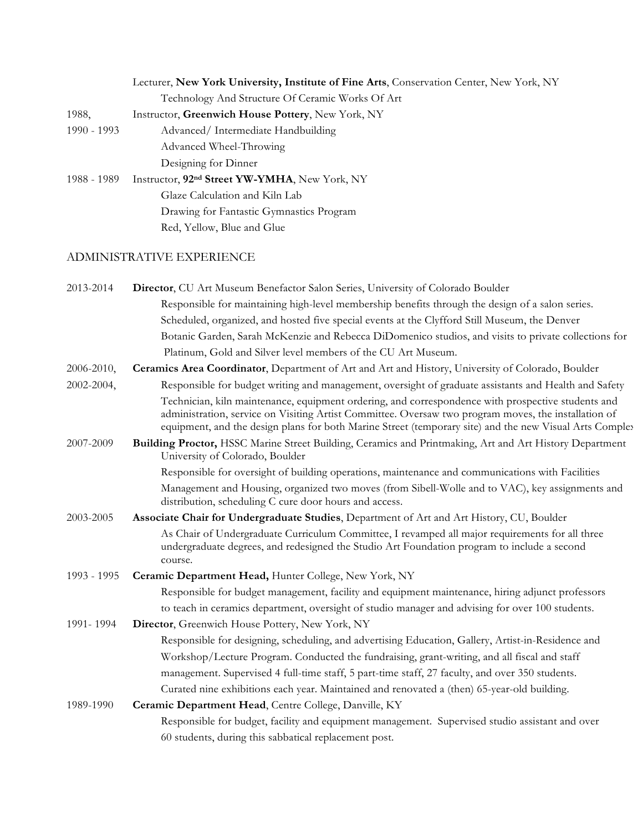|               | Lecturer, New York University, Institute of Fine Arts, Conservation Center, New York, NY |
|---------------|------------------------------------------------------------------------------------------|
|               | Technology And Structure Of Ceramic Works Of Art                                         |
| 1988,         | Instructor, Greenwich House Pottery, New York, NY                                        |
| $1990 - 1993$ | Advanced/Intermediate Handbuilding                                                       |
|               | Advanced Wheel-Throwing                                                                  |
|               | Designing for Dinner                                                                     |
| 1988 - 1989   | Instructor, 92 <sup>nd</sup> Street YW-YMHA, New York, NY                                |
|               | Glaze Calculation and Kiln Lab                                                           |
|               | Drawing for Fantastic Gymnastics Program                                                 |
|               | Red, Yellow, Blue and Glue                                                               |
|               |                                                                                          |

## ADMINISTRATIVE EXPERIENCE

| 2013-2014   | Director, CU Art Museum Benefactor Salon Series, University of Colorado Boulder                                                                                                                                                                                                                                       |
|-------------|-----------------------------------------------------------------------------------------------------------------------------------------------------------------------------------------------------------------------------------------------------------------------------------------------------------------------|
|             | Responsible for maintaining high-level membership benefits through the design of a salon series.                                                                                                                                                                                                                      |
|             | Scheduled, organized, and hosted five special events at the Clyfford Still Museum, the Denver                                                                                                                                                                                                                         |
|             | Botanic Garden, Sarah McKenzie and Rebecca DiDomenico studios, and visits to private collections for                                                                                                                                                                                                                  |
|             | Platinum, Gold and Silver level members of the CU Art Museum.                                                                                                                                                                                                                                                         |
| 2006-2010,  | Ceramics Area Coordinator, Department of Art and Art and History, University of Colorado, Boulder                                                                                                                                                                                                                     |
| 2002-2004,  | Responsible for budget writing and management, oversight of graduate assistants and Health and Safety                                                                                                                                                                                                                 |
|             | Technician, kiln maintenance, equipment ordering, and correspondence with prospective students and<br>administration, service on Visiting Artist Committee. Oversaw two program moves, the installation of<br>equipment, and the design plans for both Marine Street (temporary site) and the new Visual Arts Complex |
| 2007-2009   | Building Proctor, HSSC Marine Street Building, Ceramics and Printmaking, Art and Art History Department<br>University of Colorado, Boulder                                                                                                                                                                            |
|             | Responsible for oversight of building operations, maintenance and communications with Facilities                                                                                                                                                                                                                      |
|             | Management and Housing, organized two moves (from Sibell-Wolle and to VAC), key assignments and<br>distribution, scheduling C cure door hours and access.                                                                                                                                                             |
| 2003-2005   | Associate Chair for Undergraduate Studies, Department of Art and Art History, CU, Boulder                                                                                                                                                                                                                             |
|             | As Chair of Undergraduate Curriculum Committee, I revamped all major requirements for all three<br>undergraduate degrees, and redesigned the Studio Art Foundation program to include a second<br>course.                                                                                                             |
| 1993 - 1995 | Ceramic Department Head, Hunter College, New York, NY                                                                                                                                                                                                                                                                 |
|             | Responsible for budget management, facility and equipment maintenance, hiring adjunct professors                                                                                                                                                                                                                      |
|             | to teach in ceramics department, oversight of studio manager and advising for over 100 students.                                                                                                                                                                                                                      |
| 1991-1994   | Director, Greenwich House Pottery, New York, NY                                                                                                                                                                                                                                                                       |
|             | Responsible for designing, scheduling, and advertising Education, Gallery, Artist-in-Residence and                                                                                                                                                                                                                    |
|             | Workshop/Lecture Program. Conducted the fundraising, grant-writing, and all fiscal and staff                                                                                                                                                                                                                          |
|             | management. Supervised 4 full-time staff, 5 part-time staff, 27 faculty, and over 350 students.                                                                                                                                                                                                                       |
|             | Curated nine exhibitions each year. Maintained and renovated a (then) 65-year-old building.                                                                                                                                                                                                                           |
| 1989-1990   | Ceramic Department Head, Centre College, Danville, KY                                                                                                                                                                                                                                                                 |
|             | Responsible for budget, facility and equipment management. Supervised studio assistant and over                                                                                                                                                                                                                       |
|             | 60 students, during this sabbatical replacement post.                                                                                                                                                                                                                                                                 |
|             |                                                                                                                                                                                                                                                                                                                       |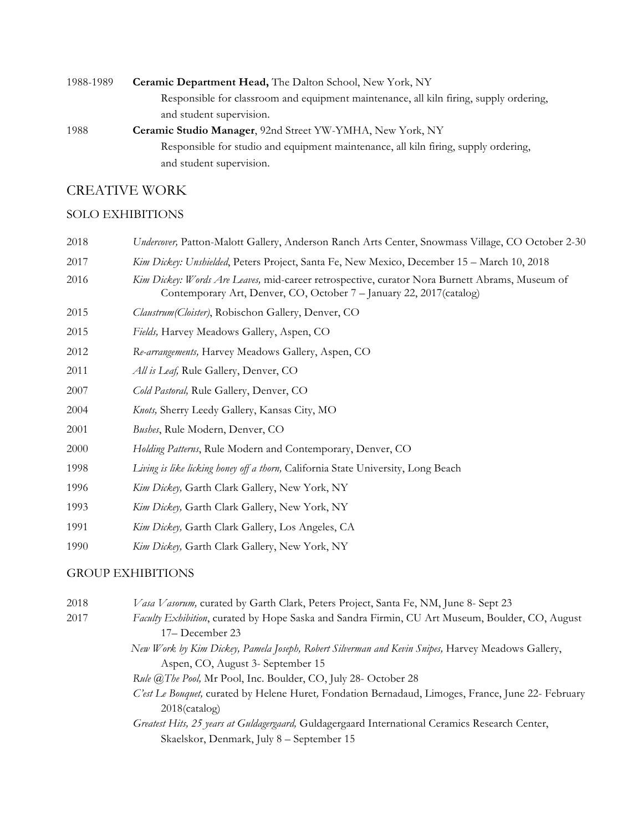| 1988-1989 | Ceramic Department Head, The Dalton School, New York, NY                               |
|-----------|----------------------------------------------------------------------------------------|
|           | Responsible for classroom and equipment maintenance, all kiln firing, supply ordering, |
|           | and student supervision.                                                               |
| 1988      | Ceramic Studio Manager, 92nd Street YW-YMHA, New York, NY                              |
|           | Responsible for studio and equipment maintenance, all kiln firing, supply ordering,    |
|           | and student supervision.                                                               |

## CREATIVE WORK

## SOLO EXHIBITIONS

| 2018 | Undercover, Patton-Malott Gallery, Anderson Ranch Arts Center, Snowmass Village, CO October 2-30                                                                       |
|------|------------------------------------------------------------------------------------------------------------------------------------------------------------------------|
| 2017 | Kim Dickey: Unshielded, Peters Project, Santa Fe, New Mexico, December 15 – March 10, 2018                                                                             |
| 2016 | Kim Dickey: Words Are Leaves, mid-career retrospective, curator Nora Burnett Abrams, Museum of<br>Contemporary Art, Denver, CO, October 7 – January 22, 2017 (catalog) |
| 2015 | Claustrum (Cloister), Robischon Gallery, Denver, CO                                                                                                                    |
| 2015 | Fields, Harvey Meadows Gallery, Aspen, CO                                                                                                                              |
| 2012 | Re-arrangements, Harvey Meadows Gallery, Aspen, CO                                                                                                                     |
| 2011 | All is Leaf, Rule Gallery, Denver, CO                                                                                                                                  |
| 2007 | Cold Pastoral, Rule Gallery, Denver, CO                                                                                                                                |
| 2004 | Knots, Sherry Leedy Gallery, Kansas City, MO                                                                                                                           |
| 2001 | <i>Bushes</i> , Rule Modern, Denver, CO                                                                                                                                |
| 2000 | Holding Patterns, Rule Modern and Contemporary, Denver, CO                                                                                                             |
|      |                                                                                                                                                                        |

- 1998 *Living is like licking honey off a thorn,* California State University, Long Beach
- 1996 *Kim Dickey,* Garth Clark Gallery, New York, NY
- 1993 *Kim Dickey,* Garth Clark Gallery, New York, NY
- 1991 *Kim Dickey,* Garth Clark Gallery, Los Angeles, CA
- 1990 *Kim Dickey,* Garth Clark Gallery, New York, NY

## GROUP EXHIBITIONS

| 2018 | Vasa Vasorum, curated by Garth Clark, Peters Project, Santa Fe, NM, June 8- Sept 23                |
|------|----------------------------------------------------------------------------------------------------|
| 2017 | Faculty Exhibition, curated by Hope Saska and Sandra Firmin, CU Art Museum, Boulder, CO, August    |
|      | 17– December 23                                                                                    |
|      | New Work by Kim Dickey, Pamela Joseph, Robert Silverman and Kevin Snipes, Harvey Meadows Gallery,  |
|      | Aspen, CO, August 3- September 15                                                                  |
|      | Rule @The Pool, Mr Pool, Inc. Boulder, CO, July 28- October 28                                     |
|      | C'est Le Bouquet, curated by Helene Huret, Fondation Bernadaud, Limoges, France, June 22- February |
|      | $2018$ (catalog)                                                                                   |
|      | Greatest Hits, 25 years at Guldagergaard, Guldagergaard International Ceramics Research Center     |

*Greatest Hits, 25 years at Guldagergaard,* Guldagergaard International Ceramics Research Center, Skaelskor, Denmark, July 8 – September 15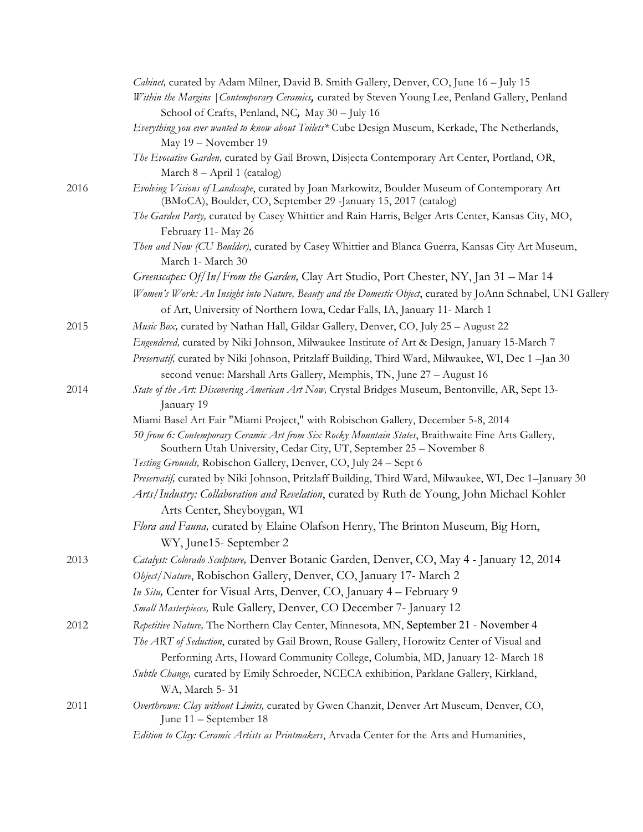|      | Cabinet, curated by Adam Milner, David B. Smith Gallery, Denver, CO, June 16 - July 15                                                                                    |
|------|---------------------------------------------------------------------------------------------------------------------------------------------------------------------------|
|      | Within the Margins   Contemporary Ceramics, curated by Steven Young Lee, Penland Gallery, Penland<br>School of Crafts, Penland, NC, May 30 - July 16                      |
|      | Everything you ever wanted to know about Toilets* Cube Design Museum, Kerkade, The Netherlands,                                                                           |
|      | May 19 - November 19                                                                                                                                                      |
|      | The Evocative Garden, curated by Gail Brown, Disjecta Contemporary Art Center, Portland, OR,                                                                              |
|      | March 8 - April 1 (catalog)                                                                                                                                               |
| 2016 | Evolving Visions of Landscape, curated by Joan Markowitz, Boulder Museum of Contemporary Art<br>(BMoCA), Boulder, CO, September 29 -January 15, 2017 (catalog)            |
|      | The Garden Party, curated by Casey Whittier and Rain Harris, Belger Arts Center, Kansas City, MO,                                                                         |
|      | February 11- May 26                                                                                                                                                       |
|      | Then and Now (CU Boulder), curated by Casey Whittier and Blanca Guerra, Kansas City Art Museum,<br>March 1- March 30                                                      |
|      | Greenscapes: Of/In/From the Garden, Clay Art Studio, Port Chester, NY, Jan 31 - Mar 14                                                                                    |
|      | Women's Work: An Insight into Nature, Beauty and the Domestic Object, curated by JoAnn Schnabel, UNI Gallery                                                              |
|      | of Art, University of Northern Iowa, Cedar Falls, IA, January 11- March 1                                                                                                 |
| 2015 | Music Box, curated by Nathan Hall, Gildar Gallery, Denver, CO, July 25 - August 22                                                                                        |
|      | Engendered, curated by Niki Johnson, Milwaukee Institute of Art & Design, January 15-March 7                                                                              |
|      | Preservatif, curated by Niki Johnson, Pritzlaff Building, Third Ward, Milwaukee, WI, Dec 1 -Jan 30                                                                        |
|      | second venue: Marshall Arts Gallery, Memphis, TN, June 27 - August 16                                                                                                     |
| 2014 | State of the Art: Discovering American Art Now, Crystal Bridges Museum, Bentonville, AR, Sept 13-<br>January 19                                                           |
|      | Miami Basel Art Fair "Miami Project," with Robischon Gallery, December 5-8, 2014                                                                                          |
|      | 50 from 6: Contemporary Ceramic Art from Six Rocky Mountain States, Braithwaite Fine Arts Gallery,<br>Southern Utah University, Cedar City, UT, September 25 - November 8 |
|      | Testing Grounds, Robischon Gallery, Denver, CO, July 24 - Sept 6                                                                                                          |
|      | Preservatif, curated by Niki Johnson, Pritzlaff Building, Third Ward, Milwaukee, WI, Dec 1-January 30                                                                     |
|      | Arts/Industry: Collaboration and Revelation, curated by Ruth de Young, John Michael Kohler                                                                                |
|      | Arts Center, Sheyboygan, WI                                                                                                                                               |
|      | Flora and Fauna, curated by Elaine Olafson Henry, The Brinton Museum, Big Horn,                                                                                           |
| 2013 | WY, June15- September 2                                                                                                                                                   |
|      | Catalyst: Colorado Sculpture, Denver Botanic Garden, Denver, CO, May 4 - January 12, 2014                                                                                 |
|      | Object/Nature, Robischon Gallery, Denver, CO, January 17- March 2                                                                                                         |
|      | In Situ, Center for Visual Arts, Denver, CO, January 4 - February 9                                                                                                       |
|      | Small Masterpieces, Rule Gallery, Denver, CO December 7- January 12                                                                                                       |
| 2012 | Repetitive Nature, The Northern Clay Center, Minnesota, MN, September 21 - November 4                                                                                     |
|      | The ART of Seduction, curated by Gail Brown, Rouse Gallery, Horowitz Center of Visual and                                                                                 |
|      | Performing Arts, Howard Community College, Columbia, MD, January 12- March 18                                                                                             |
|      | Subtle Change, curated by Emily Schroeder, NCECA exhibition, Parklane Gallery, Kirkland,<br>WA, March 5-31                                                                |
| 2011 | Overthrown: Clay without Limits, curated by Gwen Chanzit, Denver Art Museum, Denver, CO,<br>June 11 – September 18                                                        |
|      | Edition to Clay: Ceramic Artists as Printmakers, Arvada Center for the Arts and Humanities,                                                                               |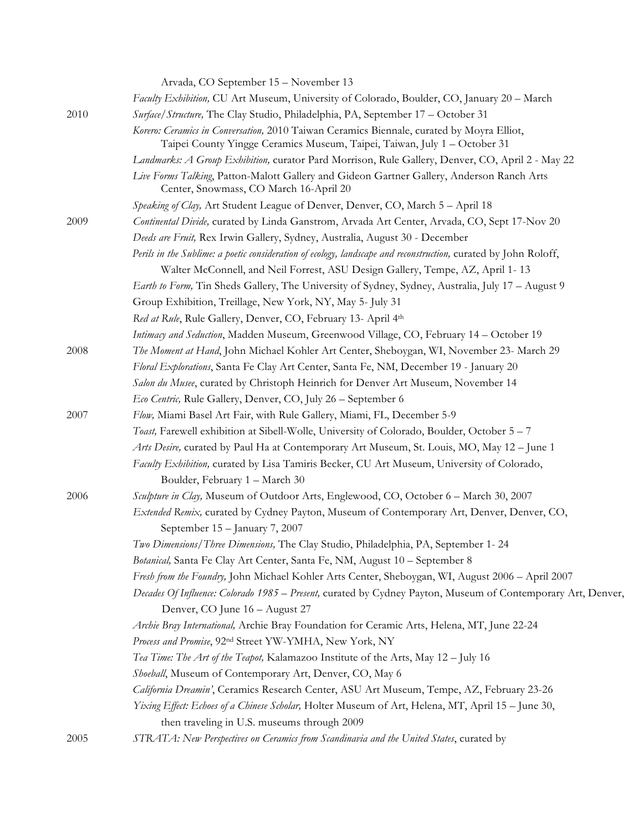|      | Arvada, CO September 15 - November 13                                                                                                                                  |
|------|------------------------------------------------------------------------------------------------------------------------------------------------------------------------|
|      | Faculty Exhibition, CU Art Museum, University of Colorado, Boulder, CO, January 20 - March                                                                             |
| 2010 | Surface/Structure, The Clay Studio, Philadelphia, PA, September 17 - October 31                                                                                        |
|      | Korero: Ceramics in Conversation, 2010 Taiwan Ceramics Biennale, curated by Moyra Elliot,<br>Taipei County Yingge Ceramics Museum, Taipei, Taiwan, July 1 - October 31 |
|      | Landmarks: A Group Exhibition, curator Pard Morrison, Rule Gallery, Denver, CO, April 2 - May 22                                                                       |
|      | Live Forms Talking, Patton-Malott Gallery and Gideon Gartner Gallery, Anderson Ranch Arts<br>Center, Snowmass, CO March 16-April 20                                    |
|      | Speaking of Clay, Art Student League of Denver, Denver, CO, March 5 - April 18                                                                                         |
| 2009 | Continental Divide, curated by Linda Ganstrom, Arvada Art Center, Arvada, CO, Sept 17-Nov 20                                                                           |
|      | Deeds are Fruit, Rex Irwin Gallery, Sydney, Australia, August 30 - December                                                                                            |
|      | Perils in the Sublime: a poetic consideration of ecology, landscape and reconstruction, curated by John Roloff,                                                        |
|      | Walter McConnell, and Neil Forrest, ASU Design Gallery, Tempe, AZ, April 1-13                                                                                          |
|      | Earth to Form, Tin Sheds Gallery, The University of Sydney, Sydney, Australia, July 17 - August 9                                                                      |
|      | Group Exhibition, Treillage, New York, NY, May 5- July 31                                                                                                              |
|      | Red at Rule, Rule Gallery, Denver, CO, February 13- April 4th                                                                                                          |
|      | Intimacy and Seduction, Madden Museum, Greenwood Village, CO, February 14 - October 19                                                                                 |
| 2008 | The Moment at Hand, John Michael Kohler Art Center, Sheboygan, WI, November 23- March 29                                                                               |
|      | Floral Explorations, Santa Fe Clay Art Center, Santa Fe, NM, December 19 - January 20                                                                                  |
|      | Salon du Musee, curated by Christoph Heinrich for Denver Art Museum, November 14                                                                                       |
|      | Eco Centric, Rule Gallery, Denver, CO, July 26 - September 6                                                                                                           |
| 2007 | Flow, Miami Basel Art Fair, with Rule Gallery, Miami, FL, December 5-9                                                                                                 |
|      | Toast, Farewell exhibition at Sibell-Wolle, University of Colorado, Boulder, October 5 – 7                                                                             |
|      | Arts Desire, curated by Paul Ha at Contemporary Art Museum, St. Louis, MO, May 12 - June 1                                                                             |
|      | Faculty Exhibition, curated by Lisa Tamiris Becker, CU Art Museum, University of Colorado,<br>Boulder, February 1 - March 30                                           |
| 2006 | Sculpture in Clay, Museum of Outdoor Arts, Englewood, CO, October 6 - March 30, 2007                                                                                   |
|      | Extended Remix, curated by Cydney Payton, Museum of Contemporary Art, Denver, Denver, CO,<br>September 15 - January 7, 2007                                            |
|      | Two Dimensions/Three Dimensions, The Clay Studio, Philadelphia, PA, September 1-24                                                                                     |
|      | Botanical, Santa Fe Clay Art Center, Santa Fe, NM, August 10 - September 8                                                                                             |
|      | Fresh from the Foundry, John Michael Kohler Arts Center, Sheboygan, WI, August 2006 - April 2007                                                                       |
|      | Decades Of Influence: Colorado 1985 - Present, curated by Cydney Payton, Museum of Contemporary Art, Denver,                                                           |
|      | Denver, CO June 16 - August 27                                                                                                                                         |
|      | Archie Bray International, Archie Bray Foundation for Ceramic Arts, Helena, MT, June 22-24                                                                             |
|      | Process and Promise, 92 <sup>nd</sup> Street YW-YMHA, New York, NY                                                                                                     |
|      | Tea Time: The Art of the Teapot, Kalamazoo Institute of the Arts, May 12 - July 16                                                                                     |
|      | Shoeball, Museum of Contemporary Art, Denver, CO, May 6                                                                                                                |
|      | California Dreamin', Ceramics Research Center, ASU Art Museum, Tempe, AZ, February 23-26                                                                               |
|      | Yixing Effect: Echoes of a Chinese Scholar, Holter Museum of Art, Helena, MT, April 15 - June 30,                                                                      |
|      | then traveling in U.S. museums through 2009                                                                                                                            |
| 2005 | STRATA: New Perspectives on Ceramics from Scandinavia and the United States, curated by                                                                                |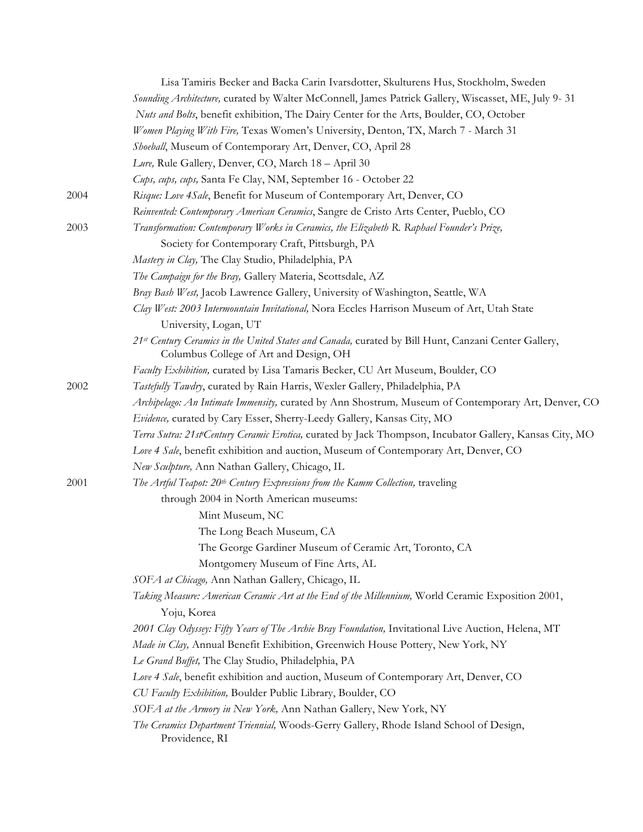|      | Lisa Tamiris Becker and Backa Carin Ivarsdotter, Skulturens Hus, Stockholm, Sweden                                                             |
|------|------------------------------------------------------------------------------------------------------------------------------------------------|
|      | Sounding Architecture, curated by Walter McConnell, James Patrick Gallery, Wiscasset, ME, July 9-31                                            |
|      | Nuts and Bolts, benefit exhibition, The Dairy Center for the Arts, Boulder, CO, October                                                        |
|      | Women Playing With Fire, Texas Women's University, Denton, TX, March 7 - March 31                                                              |
|      | Shoeball, Museum of Contemporary Art, Denver, CO, April 28                                                                                     |
|      | Lure, Rule Gallery, Denver, CO, March 18 - April 30                                                                                            |
|      | Cups, cups, cups, Santa Fe Clay, NM, September 16 - October 22                                                                                 |
| 2004 | Risque: Love 4Sale, Benefit for Museum of Contemporary Art, Denver, CO                                                                         |
|      | Reinvented: Contemporary American Ceramics, Sangre de Cristo Arts Center, Pueblo, CO                                                           |
| 2003 | Transformation: Contemporary Works in Ceramics, the Elizabeth R. Raphael Founder's Prize,                                                      |
|      | Society for Contemporary Craft, Pittsburgh, PA                                                                                                 |
|      | Mastery in Clay, The Clay Studio, Philadelphia, PA                                                                                             |
|      | The Campaign for the Bray, Gallery Materia, Scottsdale, AZ                                                                                     |
|      | Bray Bash West, Jacob Lawrence Gallery, University of Washington, Seattle, WA                                                                  |
|      | Clay West: 2003 Intermountain Invitational, Nora Eccles Harrison Museum of Art, Utah State                                                     |
|      | University, Logan, UT                                                                                                                          |
|      | 21st Century Ceramics in the United States and Canada, curated by Bill Hunt, Canzani Center Gallery,<br>Columbus College of Art and Design, OH |
|      | Faculty Exhibition, curated by Lisa Tamaris Becker, CU Art Museum, Boulder, CO                                                                 |
| 2002 | Tastefully Tawdry, curated by Rain Harris, Wexler Gallery, Philadelphia, PA                                                                    |
|      | Archipelago: An Intimate Immensity, curated by Ann Shostrum, Museum of Contemporary Art, Denver, CO                                            |
|      | Evidence, curated by Cary Esser, Sherry-Leedy Gallery, Kansas City, MO                                                                         |
|      | Terra Sutra: 21st Century Ceramic Erotica, curated by Jack Thompson, Incubator Gallery, Kansas City, MO                                        |
|      | Love 4 Sale, benefit exhibition and auction, Museum of Contemporary Art, Denver, CO                                                            |
|      | New Sculpture, Ann Nathan Gallery, Chicago, IL                                                                                                 |
| 2001 | The Artful Teapot: 20 <sup>th</sup> Century Expressions from the Kamm Collection, traveling                                                    |
|      | through 2004 in North American museums:                                                                                                        |
|      | Mint Museum, NC                                                                                                                                |
|      | The Long Beach Museum, CA                                                                                                                      |
|      | The George Gardiner Museum of Ceramic Art, Toronto, CA                                                                                         |
|      | Montgomery Museum of Fine Arts, AL                                                                                                             |
|      | SOFA at Chicago, Ann Nathan Gallery, Chicago, IL                                                                                               |
|      | Taking Measure: American Ceramic Art at the End of the Millennium, World Ceramic Exposition 2001,<br>Yoju, Korea                               |
|      | 2001 Clay Odyssey: Fifty Years of The Archie Bray Foundation, Invitational Live Auction, Helena, MT                                            |
|      | Made in Clay, Annual Benefit Exhibition, Greenwich House Pottery, New York, NY                                                                 |
|      | Le Grand Buffet, The Clay Studio, Philadelphia, PA                                                                                             |
|      | Love 4 Sale, benefit exhibition and auction, Museum of Contemporary Art, Denver, CO                                                            |
|      | CU Faculty Exhibition, Boulder Public Library, Boulder, CO                                                                                     |
|      | SOFA at the Armory in New York, Ann Nathan Gallery, New York, NY                                                                               |
|      | The Ceramics Department Triennial, Woods-Gerry Gallery, Rhode Island School of Design,<br>Providence, RI                                       |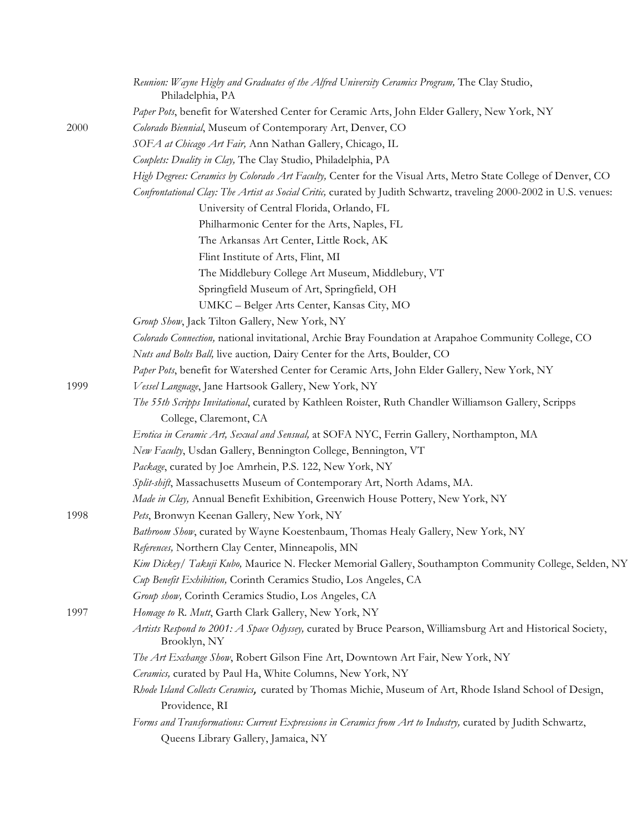|      | Reunion: Wayne Higby and Graduates of the Alfred University Ceramics Program, The Clay Studio,<br>Philadelphia, PA           |
|------|------------------------------------------------------------------------------------------------------------------------------|
|      | Paper Pots, benefit for Watershed Center for Ceramic Arts, John Elder Gallery, New York, NY                                  |
| 2000 | Colorado Biennial, Museum of Contemporary Art, Denver, CO                                                                    |
|      | SOFA at Chicago Art Fair, Ann Nathan Gallery, Chicago, IL                                                                    |
|      | Couplets: Duality in Clay, The Clay Studio, Philadelphia, PA                                                                 |
|      | High Degrees: Ceramics by Colorado Art Faculty, Center for the Visual Arts, Metro State College of Denver, CO                |
|      | Confrontational Clay: The Artist as Social Critic, curated by Judith Schwartz, traveling 2000-2002 in U.S. venues:           |
|      | University of Central Florida, Orlando, FL                                                                                   |
|      | Philharmonic Center for the Arts, Naples, FL                                                                                 |
|      | The Arkansas Art Center, Little Rock, AK                                                                                     |
|      | Flint Institute of Arts, Flint, MI                                                                                           |
|      | The Middlebury College Art Museum, Middlebury, VT                                                                            |
|      | Springfield Museum of Art, Springfield, OH                                                                                   |
|      | UMKC - Belger Arts Center, Kansas City, MO                                                                                   |
|      | Group Show, Jack Tilton Gallery, New York, NY                                                                                |
|      | Colorado Connection, national invitational, Archie Bray Foundation at Arapahoe Community College, CO                         |
|      | Nuts and Bolts Ball, live auction, Dairy Center for the Arts, Boulder, CO                                                    |
|      | Paper Pots, benefit for Watershed Center for Ceramic Arts, John Elder Gallery, New York, NY                                  |
| 1999 | Vessel Language, Jane Hartsook Gallery, New York, NY                                                                         |
|      | The 55th Scripps Invitational, curated by Kathleen Roister, Ruth Chandler Williamson Gallery, Scripps                        |
|      | College, Claremont, CA                                                                                                       |
|      | Erotica in Ceramic Art, Sexual and Sensual, at SOFA NYC, Ferrin Gallery, Northampton, MA                                     |
|      | New Faculty, Usdan Gallery, Bennington College, Bennington, VT                                                               |
|      | Package, curated by Joe Amrhein, P.S. 122, New York, NY                                                                      |
|      | Split-shift, Massachusetts Museum of Contemporary Art, North Adams, MA.                                                      |
|      | Made in Clay, Annual Benefit Exhibition, Greenwich House Pottery, New York, NY                                               |
| 1998 | Pets, Bronwyn Keenan Gallery, New York, NY                                                                                   |
|      | Bathroom Show, curated by Wayne Koestenbaum, Thomas Healy Gallery, New York, NY                                              |
|      | References, Northern Clay Center, Minneapolis, MN                                                                            |
|      | Kim Dickey/ Takuji Kubo, Maurice N. Flecker Memorial Gallery, Southampton Community College, Selden, NY                      |
|      | Cup Benefit Exhibition, Corinth Ceramics Studio, Los Angeles, CA                                                             |
|      | Group show, Corinth Ceramics Studio, Los Angeles, CA                                                                         |
| 1997 | Homage to R. Mutt, Garth Clark Gallery, New York, NY                                                                         |
|      | Artists Respond to 2001: A Space Odyssey, curated by Bruce Pearson, Williamsburg Art and Historical Society,<br>Brooklyn, NY |
|      | The Art Exchange Show, Robert Gilson Fine Art, Downtown Art Fair, New York, NY                                               |
|      | Ceramics, curated by Paul Ha, White Columns, New York, NY                                                                    |
|      | Rhode Island Collects Ceramics, curated by Thomas Michie, Museum of Art, Rhode Island School of Design,                      |
|      | Providence, RI                                                                                                               |
|      | Forms and Transformations: Current Expressions in Ceramics from Art to Industry, curated by Judith Schwartz,                 |
|      | Queens Library Gallery, Jamaica, NY                                                                                          |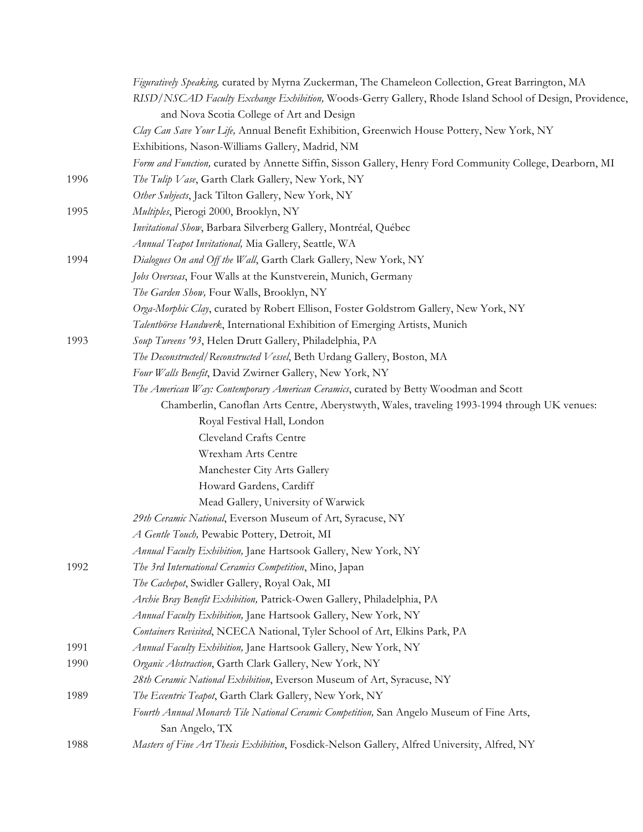|      | Figuratively Speaking, curated by Myrna Zuckerman, The Chameleon Collection, Great Barrington, MA        |
|------|----------------------------------------------------------------------------------------------------------|
|      | RISD/NSCAD Faculty Exchange Exhibition, Woods-Gerry Gallery, Rhode Island School of Design, Providence,  |
|      | and Nova Scotia College of Art and Design                                                                |
|      | Clay Can Save Your Life, Annual Benefit Exhibition, Greenwich House Pottery, New York, NY                |
|      | Exhibitions, Nason-Williams Gallery, Madrid, NM                                                          |
|      | Form and Function, curated by Annette Siffin, Sisson Gallery, Henry Ford Community College, Dearborn, MI |
| 1996 | The Tulip Vase, Garth Clark Gallery, New York, NY                                                        |
|      | Other Subjects, Jack Tilton Gallery, New York, NY                                                        |
| 1995 | Multiples, Pierogi 2000, Brooklyn, NY                                                                    |
|      | Invitational Show, Barbara Silverberg Gallery, Montréal, Québec                                          |
|      | Annual Teapot Invitational, Mia Gallery, Seattle, WA                                                     |
| 1994 | Dialogues On and Off the Wall, Garth Clark Gallery, New York, NY                                         |
|      | Jobs Overseas, Four Walls at the Kunstverein, Munich, Germany                                            |
|      | The Garden Show, Four Walls, Brooklyn, NY                                                                |
|      | Orga-Morphic Clay, curated by Robert Ellison, Foster Goldstrom Gallery, New York, NY                     |
|      | Talentbörse Handwerk, International Exhibition of Emerging Artists, Munich                               |
| 1993 | Soup Tureens '93, Helen Drutt Gallery, Philadelphia, PA                                                  |
|      | The Deconstructed/Reconstructed Vessel, Beth Urdang Gallery, Boston, MA                                  |
|      | Four Walls Benefit, David Zwirner Gallery, New York, NY                                                  |
|      | The American Way: Contemporary American Ceramics, curated by Betty Woodman and Scott                     |
|      | Chamberlin, Canoflan Arts Centre, Aberystwyth, Wales, traveling 1993-1994 through UK venues:             |
|      | Royal Festival Hall, London                                                                              |
|      | Cleveland Crafts Centre                                                                                  |
|      | Wrexham Arts Centre                                                                                      |
|      | Manchester City Arts Gallery                                                                             |
|      | Howard Gardens, Cardiff                                                                                  |
|      | Mead Gallery, University of Warwick                                                                      |
|      | 29th Ceramic National, Everson Museum of Art, Syracuse, NY                                               |
|      | A Gentle Touch, Pewabic Pottery, Detroit, MI                                                             |
|      | Annual Faculty Exhibition, Jane Hartsook Gallery, New York, NY                                           |
| 1992 | The 3rd International Ceramics Competition, Mino, Japan                                                  |
|      | The Cachepot, Swidler Gallery, Royal Oak, MI                                                             |
|      | Archie Bray Benefit Exhibition, Patrick-Owen Gallery, Philadelphia, PA                                   |
|      | Annual Faculty Exhibition, Jane Hartsook Gallery, New York, NY                                           |
|      | Containers Revisited, NCECA National, Tyler School of Art, Elkins Park, PA                               |
| 1991 | Annual Faculty Exhibition, Jane Hartsook Gallery, New York, NY                                           |
| 1990 | Organic Abstraction, Garth Clark Gallery, New York, NY                                                   |
|      | 28th Ceramic National Exhibition, Everson Museum of Art, Syracuse, NY                                    |
| 1989 | The Eccentric Teapot, Garth Clark Gallery, New York, NY                                                  |
|      | Fourth Annual Monarch Tile National Ceramic Competition, San Angelo Museum of Fine Arts,                 |
|      | San Angelo, TX                                                                                           |
| 1988 | Masters of Fine Art Thesis Exhibition, Fosdick-Nelson Gallery, Alfred University, Alfred, NY             |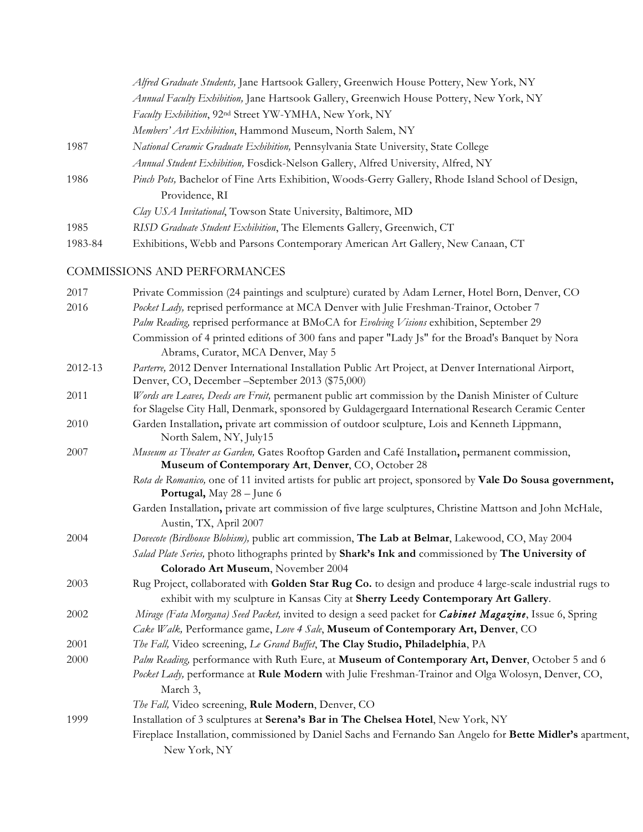|         | Alfred Graduate Students, Jane Hartsook Gallery, Greenwich House Pottery, New York, NY            |
|---------|---------------------------------------------------------------------------------------------------|
|         | Annual Faculty Exhibition, Jane Hartsook Gallery, Greenwich House Pottery, New York, NY           |
|         | Faculty Exhibition, 92 <sup>nd</sup> Street YW-YMHA, New York, NY                                 |
|         | Members' Art Exhibition, Hammond Museum, North Salem, NY                                          |
| 1987    | National Ceramic Graduate Exhibition, Pennsylvania State University, State College                |
|         | Annual Student Exhibition, Fosdick-Nelson Gallery, Alfred University, Alfred, NY                  |
| 1986    | Pinch Pots, Bachelor of Fine Arts Exhibition, Woods-Gerry Gallery, Rhode Island School of Design, |
|         | Providence, RI                                                                                    |
|         | Clay USA Invitational, Towson State University, Baltimore, MD                                     |
| 1985    | RISD Graduate Student Exhibition, The Elements Gallery, Greenwich, CT                             |
| 1983-84 | Exhibitions, Webb and Parsons Contemporary American Art Gallery, New Canaan, CT                   |

# COMMISSIONS AND PERFORMANCES

| 2017    | Private Commission (24 paintings and sculpture) curated by Adam Lerner, Hotel Born, Denver, CO                                                                                                            |
|---------|-----------------------------------------------------------------------------------------------------------------------------------------------------------------------------------------------------------|
| 2016    | Pocket Lady, reprised performance at MCA Denver with Julie Freshman-Trainor, October 7                                                                                                                    |
|         | Palm Reading, reprised performance at BMoCA for Evolving Visions exhibition, September 29                                                                                                                 |
|         | Commission of 4 printed editions of 300 fans and paper "Lady Js" for the Broad's Banquet by Nora                                                                                                          |
|         | Abrams, Curator, MCA Denver, May 5                                                                                                                                                                        |
| 2012-13 | Parterre, 2012 Denver International Installation Public Art Project, at Denver International Airport,<br>Denver, CO, December -September 2013 (\$75,000)                                                  |
| 2011    | Words are Leaves, Deeds are Fruit, permanent public art commission by the Danish Minister of Culture<br>for Slagelse City Hall, Denmark, sponsored by Guldagergaard International Research Ceramic Center |
| 2010    | Garden Installation, private art commission of outdoor sculpture, Lois and Kenneth Lippmann,<br>North Salem, NY, July15                                                                                   |
| 2007    | Museum as Theater as Garden, Gates Rooftop Garden and Café Installation, permanent commission,<br>Museum of Contemporary Art, Denver, CO, October 28                                                      |
|         | Rota de Romanico, one of 11 invited artists for public art project, sponsored by Vale Do Sousa government,<br>Portugal, May 28 - June 6                                                                   |
|         | Garden Installation, private art commission of five large sculptures, Christine Mattson and John McHale,<br>Austin, TX, April 2007                                                                        |
| 2004    | Dovecote (Birdhouse Blobism), public art commission, The Lab at Belmar, Lakewood, CO, May 2004                                                                                                            |
|         | Salad Plate Series, photo lithographs printed by Shark's Ink and commissioned by The University of                                                                                                        |
|         | Colorado Art Museum, November 2004                                                                                                                                                                        |
| 2003    | Rug Project, collaborated with Golden Star Rug Co. to design and produce 4 large-scale industrial rugs to                                                                                                 |
|         | exhibit with my sculpture in Kansas City at Sherry Leedy Contemporary Art Gallery.                                                                                                                        |
| 2002    | Mirage (Fata Morgana) Seed Packet, invited to design a seed packet for <i>Cabinet Magazine</i> , Issue 6, Spring                                                                                          |
|         | Cake Walk, Performance game, Love 4 Sale, Museum of Contemporary Art, Denver, CO                                                                                                                          |
| 2001    | The Fall, Video screening, Le Grand Buffet, The Clay Studio, Philadelphia, PA                                                                                                                             |
| 2000    | Palm Reading, performance with Ruth Eure, at Museum of Contemporary Art, Denver, October 5 and 6                                                                                                          |
|         | Pocket Lady, performance at Rule Modern with Julie Freshman-Trainor and Olga Wolosyn, Denver, CO,<br>March 3,                                                                                             |
|         | The Fall, Video screening, Rule Modern, Denver, CO                                                                                                                                                        |
| 1999    | Installation of 3 sculptures at Serena's Bar in The Chelsea Hotel, New York, NY                                                                                                                           |
|         | Fireplace Installation, commissioned by Daniel Sachs and Fernando San Angelo for Bette Midler's apartment,<br>New York, NY                                                                                |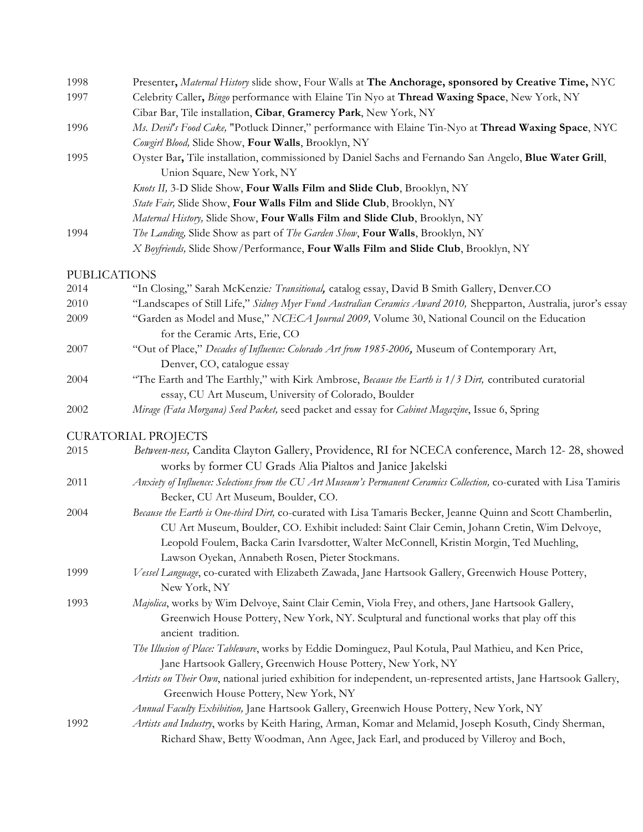| 1998 | Presenter, Maternal History slide show, Four Walls at The Anchorage, sponsored by Creative Time, NYC        |
|------|-------------------------------------------------------------------------------------------------------------|
| 1997 | Celebrity Caller, <i>Bingo</i> performance with Elaine Tin Nyo at <b>Thread Waxing Space</b> , New York, NY |
|      | Cibar Bar, Tile installation, Cibar, Gramercy Park, New York, NY                                            |
| 1996 | Ms. Devil's Food Cake, "Potluck Dinner," performance with Elaine Tin-Nyo at Thread Waxing Space, NYC        |
|      | Cowgirl Blood, Slide Show, Four Walls, Brooklyn, NY                                                         |
| 1995 | Oyster Bar, Tile installation, commissioned by Daniel Sachs and Fernando San Angelo, Blue Water Grill,      |
|      | Union Square, New York, NY                                                                                  |
|      | <i>Knots II</i> , 3-D Slide Show, Four Walls Film and Slide Club, Brooklyn, NY                              |
|      | <i>State Fair</i> , Slide Show, Four Walls Film and Slide Club, Brooklyn, NY                                |
|      | Maternal History, Slide Show, Four Walls Film and Slide Club, Brooklyn, NY                                  |
| 1994 | The Landing, Slide Show as part of The Garden Show, Four Walls, Brooklyn, NY                                |
|      | X Boyfriends, Slide Show/Performance, Four Walls Film and Slide Club, Brooklyn, NY                          |

#### PUBLICATIONS

| 2014 | "In Closing," Sarah McKenzie: Transitional, catalog essay, David B Smith Gallery, Denver.CO                                                                                                                                                                                                                                                                  |
|------|--------------------------------------------------------------------------------------------------------------------------------------------------------------------------------------------------------------------------------------------------------------------------------------------------------------------------------------------------------------|
| 2010 | "Landscapes of Still Life," Sidney Myer Fund Australian Ceramics Award 2010, Shepparton, Australia, juror's essay                                                                                                                                                                                                                                            |
| 2009 | "Garden as Model and Muse," NCECA Journal 2009, Volume 30, National Council on the Education<br>for the Ceramic Arts, Erie, CO                                                                                                                                                                                                                               |
| 2007 | "Out of Place," Decades of Influence: Colorado Art from 1985-2006, Museum of Contemporary Art,<br>Denver, CO, catalogue essay                                                                                                                                                                                                                                |
| 2004 | "The Earth and The Earthly," with Kirk Ambrose, Because the Earth is 1/3 Dirt, contributed curatorial<br>essay, CU Art Museum, University of Colorado, Boulder                                                                                                                                                                                               |
| 2002 | Mirage (Fata Morgana) Seed Packet, seed packet and essay for Cabinet Magazine, Issue 6, Spring                                                                                                                                                                                                                                                               |
|      | <b>CURATORIAL PROJECTS</b>                                                                                                                                                                                                                                                                                                                                   |
| 2015 | Between-ness, Candita Clayton Gallery, Providence, RI for NCECA conference, March 12-28, showed<br>works by former CU Grads Alia Pialtos and Janice Jakelski                                                                                                                                                                                                 |
| 2011 | Anxiety of Influence: Selections from the CU Art Museum's Permanent Ceramics Collection, co-curated with Lisa Tamiris<br>Becker, CU Art Museum, Boulder, CO.                                                                                                                                                                                                 |
| 2004 | Because the Earth is One-third Dirt, co-curated with Lisa Tamaris Becker, Jeanne Quinn and Scott Chamberlin,<br>CU Art Museum, Boulder, CO. Exhibit included: Saint Clair Cemin, Johann Cretin, Wim Delvoye,<br>Leopold Foulem, Backa Carin Ivarsdotter, Walter McConnell, Kristin Morgin, Ted Muehling,<br>Lawson Oyekan, Annabeth Rosen, Pieter Stockmans. |
| 1999 | Vessel Language, co-curated with Elizabeth Zawada, Jane Hartsook Gallery, Greenwich House Pottery,<br>New York, NY                                                                                                                                                                                                                                           |

1993 *Majolica*, works by Wim Delvoye, Saint Clair Cemin, Viola Frey, and others, Jane Hartsook Gallery, Greenwich House Pottery, New York, NY. Sculptural and functional works that play off this ancient tradition.

> *The Illusion of Place: Tableware*, works by Eddie Dominguez, Paul Kotula, Paul Mathieu, and Ken Price, Jane Hartsook Gallery, Greenwich House Pottery, New York, NY

*Artists on Their Own*, national juried exhibition for independent, un-represented artists, Jane Hartsook Gallery, Greenwich House Pottery, New York, NY

- *Annual Faculty Exhibition,* Jane Hartsook Gallery, Greenwich House Pottery, New York, NY
- 1992 *Artists and Industry*, works by Keith Haring, Arman, Komar and Melamid, Joseph Kosuth, Cindy Sherman, Richard Shaw, Betty Woodman, Ann Agee, Jack Earl, and produced by Villeroy and Boch,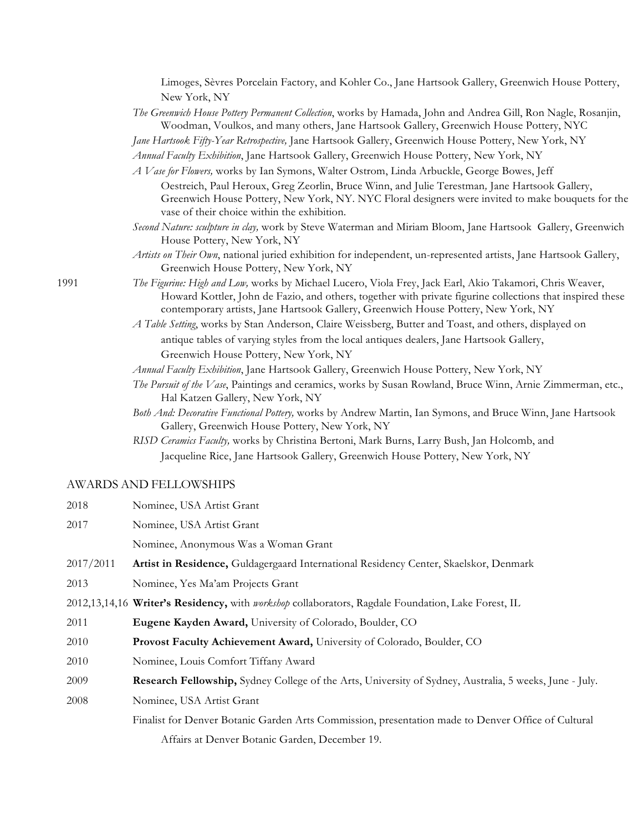|           | Limoges, Sèvres Porcelain Factory, and Kohler Co., Jane Hartsook Gallery, Greenwich House Pottery,                                                                                                                                                                                                          |
|-----------|-------------------------------------------------------------------------------------------------------------------------------------------------------------------------------------------------------------------------------------------------------------------------------------------------------------|
|           | New York, NY                                                                                                                                                                                                                                                                                                |
|           | The Greenwich House Pottery Permanent Collection, works by Hamada, John and Andrea Gill, Ron Nagle, Rosanjin,<br>Woodman, Voulkos, and many others, Jane Hartsook Gallery, Greenwich House Pottery, NYC                                                                                                     |
|           | Jane Hartsook Fifty-Year Retrospective, Jane Hartsook Gallery, Greenwich House Pottery, New York, NY                                                                                                                                                                                                        |
|           | Annual Faculty Exhibition, Jane Hartsook Gallery, Greenwich House Pottery, New York, NY                                                                                                                                                                                                                     |
|           | A Vase for Flowers, works by Ian Symons, Walter Ostrom, Linda Arbuckle, George Bowes, Jeff                                                                                                                                                                                                                  |
|           | Oestreich, Paul Heroux, Greg Zeorlin, Bruce Winn, and Julie Terestman, Jane Hartsook Gallery,<br>Greenwich House Pottery, New York, NY. NYC Floral designers were invited to make bouquets for the<br>vase of their choice within the exhibition.                                                           |
|           | Second Nature: sculpture in clay, work by Steve Waterman and Miriam Bloom, Jane Hartsook Gallery, Greenwich<br>House Pottery, New York, NY                                                                                                                                                                  |
|           | Artists on Their Own, national juried exhibition for independent, un-represented artists, Jane Hartsook Gallery,<br>Greenwich House Pottery, New York, NY                                                                                                                                                   |
| 1991      | The Figurine: High and Low, works by Michael Lucero, Viola Frey, Jack Earl, Akio Takamori, Chris Weaver,<br>Howard Kottler, John de Fazio, and others, together with private figurine collections that inspired these<br>contemporary artists, Jane Hartsook Gallery, Greenwich House Pottery, New York, NY |
|           | A Table Setting, works by Stan Anderson, Claire Weissberg, Butter and Toast, and others, displayed on                                                                                                                                                                                                       |
|           | antique tables of varying styles from the local antiques dealers, Jane Hartsook Gallery,                                                                                                                                                                                                                    |
|           | Greenwich House Pottery, New York, NY                                                                                                                                                                                                                                                                       |
|           | Annual Faculty Exhibition, Jane Hartsook Gallery, Greenwich House Pottery, New York, NY                                                                                                                                                                                                                     |
|           | The Pursuit of the Vase, Paintings and ceramics, works by Susan Rowland, Bruce Winn, Arnie Zimmerman, etc.,<br>Hal Katzen Gallery, New York, NY                                                                                                                                                             |
|           | Both And: Decorative Functional Pottery, works by Andrew Martin, Ian Symons, and Bruce Winn, Jane Hartsook<br>Gallery, Greenwich House Pottery, New York, NY                                                                                                                                                |
|           | RISD Ceramics Faculty, works by Christina Bertoni, Mark Burns, Larry Bush, Jan Holcomb, and                                                                                                                                                                                                                 |
|           | Jacqueline Rice, Jane Hartsook Gallery, Greenwich House Pottery, New York, NY                                                                                                                                                                                                                               |
|           | <b>AWARDS AND FELLOWSHIPS</b>                                                                                                                                                                                                                                                                               |
| 2018      | Nominee, USA Artist Grant                                                                                                                                                                                                                                                                                   |
| 2017      | Nominee, USA Artist Grant                                                                                                                                                                                                                                                                                   |
|           | Nominee, Anonymous Was a Woman Grant                                                                                                                                                                                                                                                                        |
| 2017/2011 | Artist in Residence, Guldagergaard International Residency Center, Skaelskor, Denmark                                                                                                                                                                                                                       |

- 2013 Nominee, Yes Ma'am Projects Grant
- 2012,13,14,16 **Writer's Residency,** with *workshop* collaborators, Ragdale Foundation, Lake Forest, IL
- 2011 **Eugene Kayden Award,** University of Colorado, Boulder, CO
- 2010 **Provost Faculty Achievement Award,** University of Colorado, Boulder, CO
- 2010 Nominee, Louis Comfort Tiffany Award
- 2009 **Research Fellowship,** Sydney College of the Arts, University of Sydney, Australia, 5 weeks, June July.
- 2008 Nominee, USA Artist Grant

Finalist for Denver Botanic Garden Arts Commission, presentation made to Denver Office of Cultural

Affairs at Denver Botanic Garden, December 19.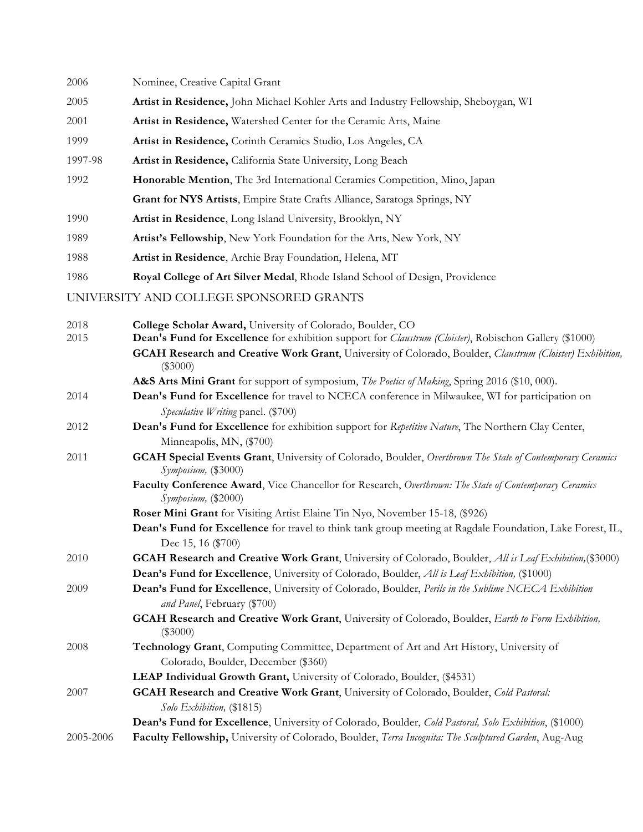| 2006         | Nominee, Creative Capital Grant                                                                                                                                              |
|--------------|------------------------------------------------------------------------------------------------------------------------------------------------------------------------------|
| 2005         | Artist in Residence, John Michael Kohler Arts and Industry Fellowship, Sheboygan, WI                                                                                         |
| 2001         | Artist in Residence, Watershed Center for the Ceramic Arts, Maine                                                                                                            |
| 1999         | Artist in Residence, Corinth Ceramics Studio, Los Angeles, CA                                                                                                                |
| 1997-98      | Artist in Residence, California State University, Long Beach                                                                                                                 |
| 1992         | Honorable Mention, The 3rd International Ceramics Competition, Mino, Japan                                                                                                   |
|              | Grant for NYS Artists, Empire State Crafts Alliance, Saratoga Springs, NY                                                                                                    |
| 1990         | Artist in Residence, Long Island University, Brooklyn, NY                                                                                                                    |
| 1989         | Artist's Fellowship, New York Foundation for the Arts, New York, NY                                                                                                          |
| 1988         | Artist in Residence, Archie Bray Foundation, Helena, MT                                                                                                                      |
| 1986         | Royal College of Art Silver Medal, Rhode Island School of Design, Providence                                                                                                 |
|              | UNIVERSITY AND COLLEGE SPONSORED GRANTS                                                                                                                                      |
|              |                                                                                                                                                                              |
| 2018<br>2015 | College Scholar Award, University of Colorado, Boulder, CO<br>Dean's Fund for Excellence for exhibition support for <i>Claustrum (Cloister)</i> , Robischon Gallery (\$1000) |
|              | GCAH Research and Creative Work Grant, University of Colorado, Boulder, Claustrum (Cloister) Exhibition,<br>$(\$3000)$                                                       |
|              | A&S Arts Mini Grant for support of symposium, The Poetics of Making, Spring 2016 (\$10, 000).                                                                                |
| 2014         | Dean's Fund for Excellence for travel to NCECA conference in Milwaukee, WI for participation on<br>Speculative Writing panel. (\$700)                                        |
| 2012         | Dean's Fund for Excellence for exhibition support for Repetitive Nature, The Northern Clay Center,                                                                           |
|              | Minneapolis, MN, (\$700)                                                                                                                                                     |
| 2011         | GCAH Special Events Grant, University of Colorado, Boulder, Overthrown The State of Contemporary Ceramics<br>Symposium, (\$3000)                                             |
|              | Faculty Conference Award, Vice Chancellor for Research, Overthrown: The State of Contemporary Ceramics<br>Symposium, (\$2000)                                                |
|              | Roser Mini Grant for Visiting Artist Elaine Tin Nyo, November 15-18, (\$926)                                                                                                 |
|              | Dean's Fund for Excellence for travel to think tank group meeting at Ragdale Foundation, Lake Forest, IL,<br>Dec 15, 16 (\$700)                                              |
| 2010         | <b>GCAH Research and Creative Work Grant</b> , University of Colorado, Boulder, All is Leaf Exhibition, (\$3000)                                                             |
|              | Dean's Fund for Excellence, University of Colorado, Boulder, All is Leaf Exhibition, (\$1000)                                                                                |
| 2009         | Dean's Fund for Excellence, University of Colorado, Boulder, Perils in the Sublime NCECA Exhibition<br>and Panel, February (\$700)                                           |
|              | GCAH Research and Creative Work Grant, University of Colorado, Boulder, Earth to Form Exhibition,<br>$(\$3000)$                                                              |
| 2008         | Technology Grant, Computing Committee, Department of Art and Art History, University of                                                                                      |
|              | Colorado, Boulder, December (\$360)                                                                                                                                          |
|              | LEAP Individual Growth Grant, University of Colorado, Boulder, (\$4531)                                                                                                      |
| 2007         | GCAH Research and Creative Work Grant, University of Colorado, Boulder, Cold Pastoral:<br>Solo Exhibition, (\$1815)                                                          |
|              | Dean's Fund for Excellence, University of Colorado, Boulder, Cold Pastoral, Solo Exhibition, (\$1000)                                                                        |
| 2005-2006    | Faculty Fellowship, University of Colorado, Boulder, Terra Incognita: The Sculptured Garden, Aug-Aug                                                                         |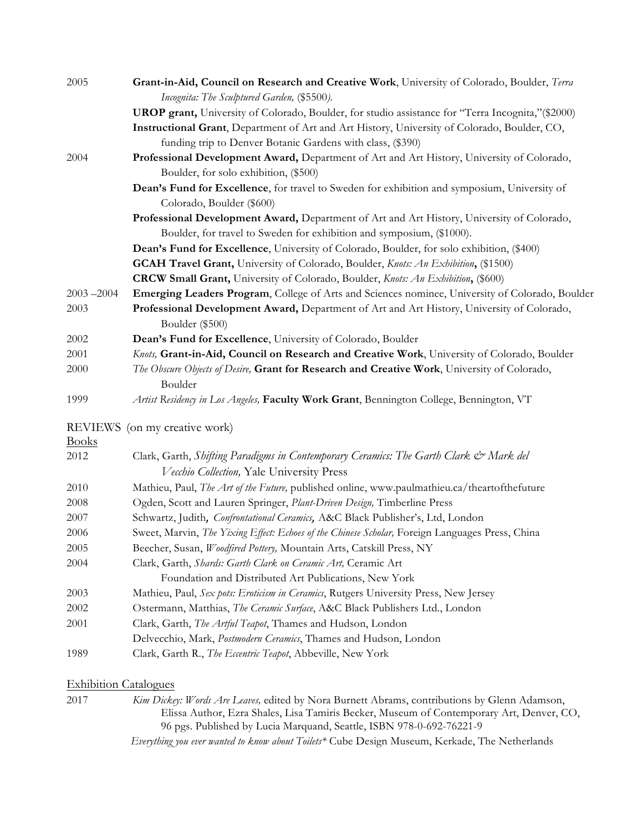| 2005          | Grant-in-Aid, Council on Research and Creative Work, University of Colorado, Boulder, Terra                                         |
|---------------|-------------------------------------------------------------------------------------------------------------------------------------|
|               | Incognita: The Sculptured Garden, (\$5500).                                                                                         |
|               | UROP grant, University of Colorado, Boulder, for studio assistance for "Terra Incognita," (\$2000)                                  |
|               | Instructional Grant, Department of Art and Art History, University of Colorado, Boulder, CO,                                        |
|               | funding trip to Denver Botanic Gardens with class, (\$390)                                                                          |
| 2004          | Professional Development Award, Department of Art and Art History, University of Colorado,<br>Boulder, for solo exhibition, (\$500) |
|               | Dean's Fund for Excellence, for travel to Sweden for exhibition and symposium, University of                                        |
|               | Colorado, Boulder (\$600)                                                                                                           |
|               | Professional Development Award, Department of Art and Art History, University of Colorado,                                          |
|               | Boulder, for travel to Sweden for exhibition and symposium, (\$1000).                                                               |
|               | Dean's Fund for Excellence, University of Colorado, Boulder, for solo exhibition, (\$400)                                           |
|               | <b>GCAH Travel Grant,</b> University of Colorado, Boulder, <i>Knots: An Exhibition</i> , (\$1500)                                   |
|               | <b>CRCW Small Grant,</b> University of Colorado, Boulder, Knots: An Exhibition, (\$600)                                             |
| $2003 - 2004$ | Emerging Leaders Program, College of Arts and Sciences nominee, University of Colorado, Boulder                                     |
| 2003          | Professional Development Award, Department of Art and Art History, University of Colorado,                                          |
|               | Boulder (\$500)                                                                                                                     |
| 2002          | Dean's Fund for Excellence, University of Colorado, Boulder                                                                         |
| 2001          | Knots, Grant-in-Aid, Council on Research and Creative Work, University of Colorado, Boulder                                         |
| 2000          | The Obscure Objects of Desire, Grant for Research and Creative Work, University of Colorado,                                        |
|               | Boulder                                                                                                                             |
| 1999          | Artist Residency in Los Angeles, Faculty Work Grant, Bennington College, Bennington, VT                                             |
|               | REVIEWS (on my creative work)                                                                                                       |
| <b>Books</b>  |                                                                                                                                     |
| 2012          | Clark, Garth, Shifting Paradigms in Contemporary Ceramics: The Garth Clark & Mark del                                               |
|               | Vecchio Collection, Yale University Press                                                                                           |
| 2010          | Mathieu, Paul, The Art of the Future, published online, www.paulmathieu.ca/theartofthefuture                                        |
| 2008          | Ogden, Scott and Lauren Springer, Plant-Driven Design, Timberline Press                                                             |
| 2007          | Schwartz, Judith, Confrontational Ceramics, A&C Black Publisher's, Ltd, London                                                      |
| 2006          | Sweet, Marvin, The Yixing Effect: Echoes of the Chinese Scholar, Foreign Languages Press, China                                     |
| 2005          | Beecher, Susan, Woodfired Pottery, Mountain Arts, Catskill Press, NY                                                                |
| 2004          | Clark, Garth, Shards: Garth Clark on Ceramic Art, Ceramic Art                                                                       |
|               | Foundation and Distributed Art Publications, New York                                                                               |
| 2003          | Mathieu, Paul, Sex pots: Eroticism in Ceramics, Rutgers University Press, New Jersey                                                |
| 2002          | Ostermann, Matthias, The Ceramic Surface, A&C Black Publishers Ltd., London                                                         |
| 2001          | Clark, Garth, The Artful Teapot, Thames and Hudson, London                                                                          |
|               | Delvecchio, Mark, Postmodern Ceramics, Thames and Hudson, London                                                                    |
| 1989          | Clark, Garth R., The Eccentric Teapot, Abbeville, New York                                                                          |
|               |                                                                                                                                     |

Exhibition Catalogues

2017 *Kim Dickey: Words Are Leaves,* edited by Nora Burnett Abrams, contributions by Glenn Adamson, Elissa Author, Ezra Shales, Lisa Tamiris Becker, Museum of Contemporary Art, Denver, CO, 96 pgs. Published by Lucia Marquand, Seattle, ISBN 978-0-692-76221-9

*Everything you ever wanted to know about Toilets\** Cube Design Museum, Kerkade, The Netherlands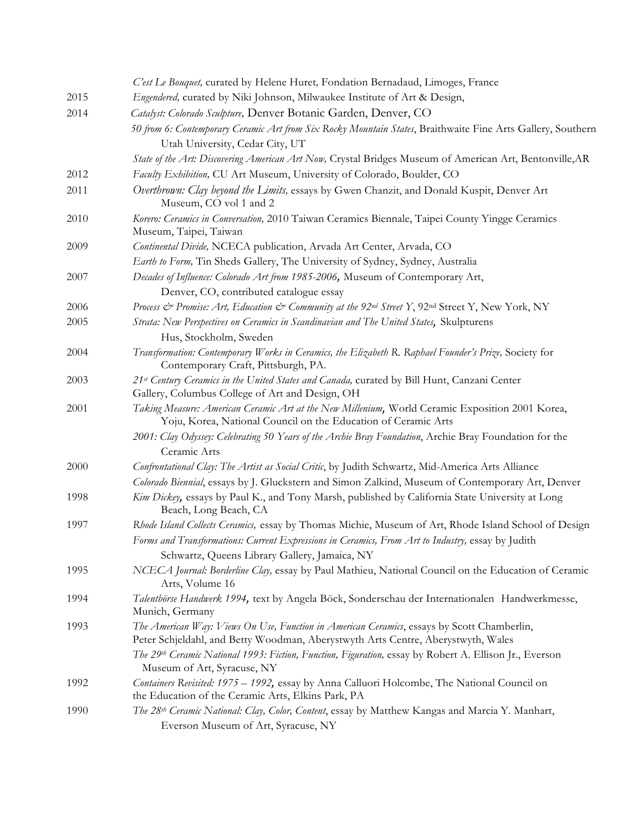|      | C'est Le Bouquet, curated by Helene Huret, Fondation Bernadaud, Limoges, France                                                                                                |
|------|--------------------------------------------------------------------------------------------------------------------------------------------------------------------------------|
| 2015 | Engendered, curated by Niki Johnson, Milwaukee Institute of Art & Design,                                                                                                      |
| 2014 | Catalyst: Colorado Sculpture, Denver Botanic Garden, Denver, CO                                                                                                                |
|      | 50 from 6: Contemporary Ceramic Art from Six Rocky Mountain States, Braithwaite Fine Arts Gallery, Southern<br>Utah University, Cedar City, UT                                 |
|      | State of the Art: Discovering American Art Now, Crystal Bridges Museum of American Art, Bentonville, AR                                                                        |
| 2012 | Faculty Exhibition, CU Art Museum, University of Colorado, Boulder, CO                                                                                                         |
| 2011 | Overthrown: Clay beyond the Limits, essays by Gwen Chanzit, and Donald Kuspit, Denver Art<br>Museum, CO vol 1 and 2                                                            |
| 2010 | Korero: Ceramics in Conversation, 2010 Taiwan Ceramics Biennale, Taipei County Yingge Ceramics<br>Museum, Taipei, Taiwan                                                       |
| 2009 | Continental Divide, NCECA publication, Arvada Art Center, Arvada, CO                                                                                                           |
|      | Earth to Form, Tin Sheds Gallery, The University of Sydney, Sydney, Australia                                                                                                  |
| 2007 | Decades of Influence: Colorado Art from 1985-2006, Museum of Contemporary Art,                                                                                                 |
|      | Denver, CO, contributed catalogue essay                                                                                                                                        |
| 2006 | Process & Promise: Art, Education & Community at the 92 <sup>nd</sup> Street Y, 92 <sup>nd</sup> Street Y, New York, NY                                                        |
| 2005 | Strata: New Perspectives on Ceramics in Scandinavian and The United States, Skulpturens                                                                                        |
|      | Hus, Stockholm, Sweden                                                                                                                                                         |
| 2004 | Transformation: Contemporary Works in Ceramics, the Elizabeth R. Raphael Founder's Prize, Society for<br>Contemporary Craft, Pittsburgh, PA.                                   |
| 2003 | 21st Century Ceramics in the United States and Canada, curated by Bill Hunt, Canzani Center<br>Gallery, Columbus College of Art and Design, OH                                 |
| 2001 | Taking Measure: American Ceramic Art at the New Millenium, World Ceramic Exposition 2001 Korea,<br>Yoju, Korea, National Council on the Education of Ceramic Arts              |
|      | 2001: Clay Odyssey: Celebrating 50 Years of the Archie Bray Foundation, Archie Bray Foundation for the<br>Ceramic Arts                                                         |
| 2000 | Confrontational Clay: The Artist as Social Critic, by Judith Schwartz, Mid-America Arts Alliance                                                                               |
|      | Colorado Biennial, essays by J. Gluckstern and Simon Zalkind, Museum of Contemporary Art, Denver                                                                               |
| 1998 | Kim Dickey, essays by Paul K., and Tony Marsh, published by California State University at Long<br>Beach, Long Beach, CA                                                       |
| 1997 | Rhode Island Collects Ceramics, essay by Thomas Michie, Museum of Art, Rhode Island School of Design                                                                           |
|      | Forms and Transformations: Current Expressions in Ceramics, From Art to Industry, essay by Judith                                                                              |
|      | Schwartz, Queens Library Gallery, Jamaica, NY                                                                                                                                  |
| 1995 | NCECA Journal: Borderline Clay, essay by Paul Mathieu, National Council on the Education of Ceramic<br>Arts, Volume 16                                                         |
| 1994 | Talentbörse Handwerk 1994, text by Angela Böck, Sonderschau der Internationalen Handwerkmesse,<br>Munich, Germany                                                              |
| 1993 | The American Way: Views On Use, Function in American Ceramics, essays by Scott Chamberlin,<br>Peter Schjeldahl, and Betty Woodman, Aberystwyth Arts Centre, Aberystwyth, Wales |
|      | The 29th Ceramic National 1993: Fiction, Function, Figuration, essay by Robert A. Ellison Jr., Everson<br>Museum of Art, Syracuse, NY                                          |
| 1992 | Containers Revisited: 1975 - 1992, essay by Anna Calluori Holcombe, The National Council on<br>the Education of the Ceramic Arts, Elkins Park, PA                              |
| 1990 | The 28th Ceramic National: Clay, Color, Content, essay by Matthew Kangas and Marcia Y. Manhart,<br>Everson Museum of Art, Syracuse, NY                                         |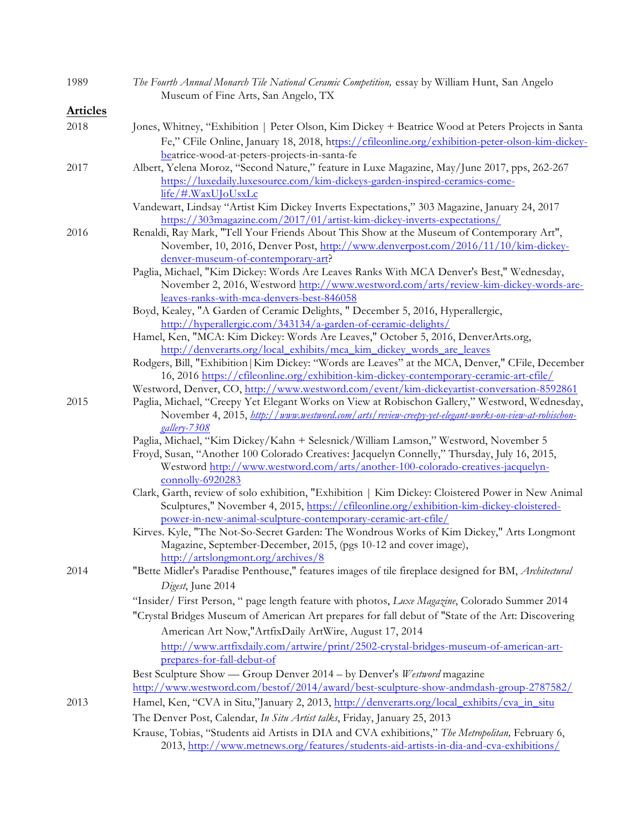| 1989            | The Fourth Annual Monarch Tile National Ceramic Competition, essay by William Hunt, San Angelo<br>Museum of Fine Arts, San Angelo, TX                                          |
|-----------------|--------------------------------------------------------------------------------------------------------------------------------------------------------------------------------|
| <b>Articles</b> |                                                                                                                                                                                |
| 2018            | Jones, Whitney, "Exhibition   Peter Olson, Kim Dickey + Beatrice Wood at Peters Projects in Santa                                                                              |
|                 | Fe," CFile Online, January 18, 2018, https://cfileonline.org/exhibition-peter-olson-kim-dickey-                                                                                |
|                 | beatrice-wood-at-peters-projects-in-santa-fe                                                                                                                                   |
| 2017            | Albert, Yelena Moroz, "Second Nature," feature in Luxe Magazine, May/June 2017, pps, 262-267                                                                                   |
|                 | https://luxedaily.luxesource.com/kim-dickeys-garden-inspired-ceramics-come-                                                                                                    |
|                 | $\frac{\text{life}/\text{#}.\text{WaxU} \text{J} \text{OUsxLc}}{}$                                                                                                             |
|                 | Vandewart, Lindsay "Artist Kim Dickey Inverts Expectations," 303 Magazine, January 24, 2017                                                                                    |
|                 | https://303magazine.com/2017/01/artist-kim-dickey-inverts-expectations/                                                                                                        |
| 2016            | Renaldi, Ray Mark, "Tell Your Friends About This Show at the Museum of Contemporary Art",<br>November, 10, 2016, Denver Post, http://www.denverpost.com/2016/11/10/kim-dickey- |
|                 | denver-museum-of-contemporary-art?                                                                                                                                             |
|                 | Paglia, Michael, "Kim Dickey: Words Are Leaves Ranks With MCA Denver's Best," Wednesday,                                                                                       |
|                 | November 2, 2016, Westword http://www.westword.com/arts/review-kim-dickey-words-are-<br>leaves-ranks-with-mca-denvers-best-846058                                              |
|                 | Boyd, Kealey, "A Garden of Ceramic Delights, " December 5, 2016, Hyperallergic,                                                                                                |
|                 | http://hyperallergic.com/343134/a-garden-of-ceramic-delights/                                                                                                                  |
|                 | Hamel, Ken, "MCA: Kim Dickey: Words Are Leaves," October 5, 2016, DenverArts.org,                                                                                              |
|                 | http://denverarts.org/local_exhibits/mca_kim_dickey_words_are_leaves                                                                                                           |
|                 | Rodgers, Bill, "Exhibition   Kim Dickey: "Words are Leaves" at the MCA, Denver," CFile, December                                                                               |
|                 | 16, 2016 https://cfileonline.org/exhibition-kim-dickey-contemporary-ceramic-art-cfile/                                                                                         |
|                 | Westword, Denver, CO, http://www.westword.com/event/kim-dickeyartist-conversation-8592861                                                                                      |
| 2015            | Paglia, Michael, "Creepy Yet Elegant Works on View at Robischon Gallery," Westword, Wednesday,                                                                                 |
|                 | November 4, 2015, http://www.westword.com/arts/review-creepy-yet-elegant-works-on-view-at-robischon-                                                                           |
|                 | gallery-7308<br>Paglia, Michael, "Kim Dickey/Kahn + Selesnick/William Lamson," Westword, November 5                                                                            |
|                 | Froyd, Susan, "Another 100 Colorado Creatives: Jacquelyn Connelly," Thursday, July 16, 2015,                                                                                   |
|                 | Westword http://www.westword.com/arts/another-100-colorado-creatives-jacquelyn-                                                                                                |
|                 | connolly-6920283                                                                                                                                                               |
|                 | Clark, Garth, review of solo exhibition, "Exhibition   Kim Dickey: Cloistered Power in New Animal                                                                              |
|                 | Sculptures," November 4, 2015, https://cfileonline.org/exhibition-kim-dickey-cloistered-                                                                                       |
|                 | power-in-new-animal-sculpture-contemporary-ceramic-art-cfile/                                                                                                                  |
|                 | Kirves. Kyle, "The Not-So-Secret Garden: The Wondrous Works of Kim Dickey," Arts Longmont                                                                                      |
|                 | Magazine, September-December, 2015, (pgs 10-12 and cover image),                                                                                                               |
| 2014            | http://artslongmont.org/archives/8                                                                                                                                             |
|                 | "Bette Midler's Paradise Penthouse," features images of tile fireplace designed for BM, Architectural                                                                          |
|                 | Digest, June 2014                                                                                                                                                              |
|                 | "Insider/First Person, " page length feature with photos, Luxe Magazine, Colorado Summer 2014                                                                                  |
|                 | "Crystal Bridges Museum of American Art prepares for fall debut of "State of the Art: Discovering                                                                              |
|                 | American Art Now,"ArtfixDaily ArtWire, August 17, 2014                                                                                                                         |
|                 | http://www.artfixdaily.com/artwire/print/2502-crystal-bridges-museum-of-american-art-<br>prepares-for-fall-debut-of                                                            |
|                 | Best Sculpture Show — Group Denver 2014 - by Denver's Westword magazine                                                                                                        |
|                 | http://www.westword.com/bestof/2014/award/best-sculpture-show-andmdash-group-2787582/                                                                                          |
| 2013            | Hamel, Ken, "CVA in Situ,"January 2, 2013, http://denverarts.org/local_exhibits/cva_in_situ                                                                                    |
|                 | The Denver Post, Calendar, In Situ Artist talks, Friday, January 25, 2013                                                                                                      |
|                 | Krause, Tobias, "Students aid Artists in DIA and CVA exhibitions," The Metropolitan, February 6,                                                                               |
|                 | 2013, http://www.metnews.org/features/students-aid-artists-in-dia-and-cva-exhibitions/                                                                                         |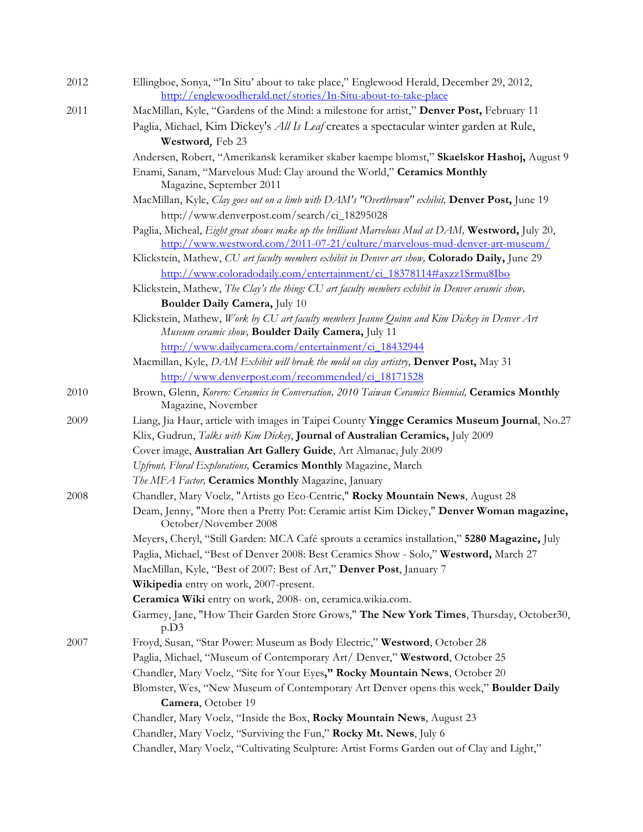| 2012 | Ellingboe, Sonya, "'In Situ' about to take place," Englewood Herald, December 29, 2012,<br>http://englewoodherald.net/stories/In-Situ-about-to-take-place |
|------|-----------------------------------------------------------------------------------------------------------------------------------------------------------|
| 2011 | MacMillan, Kyle, "Gardens of the Mind: a milestone for artist," Denver Post, February 11                                                                  |
|      | Paglia, Michael, Kim Dickey's <i>All Is Leaf</i> creates a spectacular winter garden at Rule,                                                             |
|      | Westword, Feb 23                                                                                                                                          |
|      | Andersen, Robert, "Amerikansk keramiker skaber kaempe blomst," Skaelskor Hashoj, August 9                                                                 |
|      | Enami, Sanam, "Marvelous Mud: Clay around the World," Ceramics Monthly                                                                                    |
|      | Magazine, September 2011                                                                                                                                  |
|      | MacMillan, Kyle, Clay goes out on a limb with DAM's "Overthrown" exhibit, Denver Post, June 19                                                            |
|      | http://www.denverpost.com/search/ci_18295028                                                                                                              |
|      | Paglia, Micheal, Eight great shows make up the brilliant Marvelous Mud at DAM, Westword, July 20,                                                         |
|      | http://www.westword.com/2011-07-21/culture/marvelous-mud-denver-art-museum/                                                                               |
|      | Klickstein, Mathew, CU art faculty members exhibit in Denver art show, Colorado Daily, June 29                                                            |
|      | http://www.coloradodaily.com/entertainment/ci_18378114#axzz1Srmu8Ibo                                                                                      |
|      | Klickstein, Mathew, The Clay's the thing: CU art faculty members exhibit in Denver ceramic show,                                                          |
|      | Boulder Daily Camera, July 10                                                                                                                             |
|      | Klickstein, Mathew, Work by CU art faculty members Jeanne Quinn and Kim Dickey in Denver Art<br>Museum ceramic show, Boulder Daily Camera, July 11        |
|      | http://www.dailycamera.com/entertainment/ci_18432944                                                                                                      |
|      | Macmillan, Kyle, DAM Exhibit will break the mold on clay artistry, Denver Post, May 31                                                                    |
|      | http://www.denverpost.com/recommended/ci_18171528                                                                                                         |
| 2010 | Brown, Glenn, Korero: Ceramics in Conversation, 2010 Taiwan Ceramics Biennial, Ceramics Monthly<br>Magazine, November                                     |
| 2009 | Liang, Jia Haur, article with images in Taipei County Yingge Ceramics Museum Journal, No.27                                                               |
|      | Klix, Gudrun, Talks with Kim Dickey, Journal of Australian Ceramics, July 2009                                                                            |
|      | Cover image, Australian Art Gallery Guide, Art Almanac, July 2009                                                                                         |
|      | Upfront, Floral Explorations, Ceramics Monthly Magazine, March                                                                                            |
|      | The MFA Factor, Ceramics Monthly Magazine, January                                                                                                        |
| 2008 | Chandler, Mary Voelz, "Artists go Eco-Centric," Rocky Mountain News, August 28                                                                            |
|      | Deam, Jenny, "More then a Pretty Pot: Ceramic artist Kim Dickey," Denver Woman magazine,<br>October/November 2008                                         |
|      | Meyers, Cheryl, "Still Garden: MCA Café sprouts a ceramics installation," 5280 Magazine, July                                                             |
|      | Paglia, Michael, "Best of Denver 2008: Best Ceramics Show - Solo," Westword, March 27                                                                     |
|      | MacMillan, Kyle, "Best of 2007: Best of Art," Denver Post, January 7                                                                                      |
|      | Wikipedia entry on work, 2007-present.                                                                                                                    |
|      | Ceramica Wiki entry on work, 2008- on, ceramica.wikia.com.                                                                                                |
|      | Garmey, Jane, "How Their Garden Store Grows," The New York Times, Thursday, October30,<br>p.D3                                                            |
| 2007 | Froyd, Susan, "Star Power: Museum as Body Electric," Westword, October 28                                                                                 |
|      | Paglia, Michael, "Museum of Contemporary Art/ Denver," Westword, October 25                                                                               |
|      | Chandler, Mary Voelz, "Site for Your Eyes," Rocky Mountain News, October 20                                                                               |
|      | Blomster, Wes, "New Museum of Contemporary Art Denver opens this week," Boulder Daily                                                                     |
|      | Camera, October 19                                                                                                                                        |
|      | Chandler, Mary Voelz, "Inside the Box, Rocky Mountain News, August 23                                                                                     |
|      | Chandler, Mary Voelz, "Surviving the Fun," Rocky Mt. News, July 6                                                                                         |
|      | Chandler, Mary Voelz, "Cultivating Sculpture: Artist Forms Garden out of Clay and Light,"                                                                 |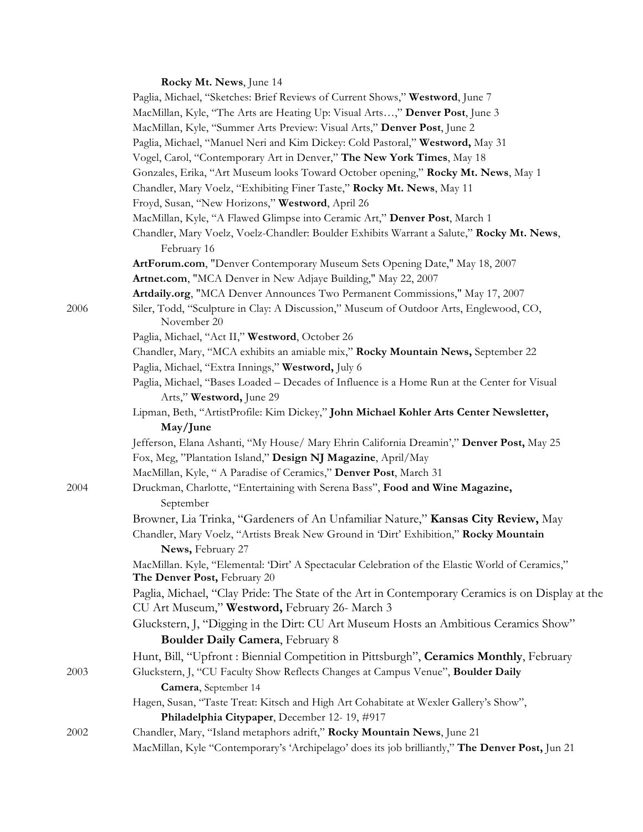# **Rocky Mt. News**, June 14

|      | Paglia, Michael, "Sketches: Brief Reviews of Current Shows," Westword, June 7                                                                      |
|------|----------------------------------------------------------------------------------------------------------------------------------------------------|
|      | MacMillan, Kyle, "The Arts are Heating Up: Visual Arts," Denver Post, June 3                                                                       |
|      | MacMillan, Kyle, "Summer Arts Preview: Visual Arts," Denver Post, June 2                                                                           |
|      | Paglia, Michael, "Manuel Neri and Kim Dickey: Cold Pastoral," Westword, May 31                                                                     |
|      | Vogel, Carol, "Contemporary Art in Denver," The New York Times, May 18                                                                             |
|      | Gonzales, Erika, "Art Museum looks Toward October opening," Rocky Mt. News, May 1                                                                  |
|      | Chandler, Mary Voelz, "Exhibiting Finer Taste," Rocky Mt. News, May 11                                                                             |
|      | Froyd, Susan, "New Horizons," Westword, April 26                                                                                                   |
|      | MacMillan, Kyle, "A Flawed Glimpse into Ceramic Art," Denver Post, March 1                                                                         |
|      | Chandler, Mary Voelz, Voelz-Chandler: Boulder Exhibits Warrant a Salute," Rocky Mt. News,<br>February 16                                           |
|      | ArtForum.com, "Denver Contemporary Museum Sets Opening Date," May 18, 2007                                                                         |
|      | Artnet.com, "MCA Denver in New Adjaye Building," May 22, 2007                                                                                      |
|      | Artdaily.org, "MCA Denver Announces Two Permanent Commissions," May 17, 2007                                                                       |
| 2006 | Siler, Todd, "Sculpture in Clay: A Discussion," Museum of Outdoor Arts, Englewood, CO,<br>November 20                                              |
|      | Paglia, Michael, "Act II," Westword, October 26                                                                                                    |
|      | Chandler, Mary, "MCA exhibits an amiable mix," Rocky Mountain News, September 22                                                                   |
|      | Paglia, Michael, "Extra Innings," Westword, July 6                                                                                                 |
|      | Paglia, Michael, "Bases Loaded - Decades of Influence is a Home Run at the Center for Visual<br>Arts," Westword, June 29                           |
|      | Lipman, Beth, "ArtistProfile: Kim Dickey," John Michael Kohler Arts Center Newsletter,<br>May/June                                                 |
|      | Jefferson, Elana Ashanti, "My House/ Mary Ehrin California Dreamin'," Denver Post, May 25                                                          |
|      | Fox, Meg, "Plantation Island," Design NJ Magazine, April/May                                                                                       |
|      | MacMillan, Kyle, " A Paradise of Ceramics," Denver Post, March 31                                                                                  |
| 2004 | Druckman, Charlotte, "Entertaining with Serena Bass", Food and Wine Magazine,<br>September                                                         |
|      | Browner, Lia Trinka, "Gardeners of An Unfamiliar Nature," Kansas City Review, May                                                                  |
|      | Chandler, Mary Voelz, "Artists Break New Ground in 'Dirt' Exhibition," Rocky Mountain                                                              |
|      | News, February 27                                                                                                                                  |
|      | MacMillan. Kyle, "Elemental: 'Dirt' A Spectacular Celebration of the Elastic World of Ceramics,"<br>The Denver Post, February 20                   |
|      | Paglia, Michael, "Clay Pride: The State of the Art in Contemporary Ceramics is on Display at the<br>CU Art Museum," Westword, February 26- March 3 |
|      | Gluckstern, J, "Digging in the Dirt: CU Art Museum Hosts an Ambitious Ceramics Show"                                                               |
|      | Boulder Daily Camera, February 8                                                                                                                   |
|      | Hunt, Bill, "Upfront: Biennial Competition in Pittsburgh", Ceramics Monthly, February                                                              |
| 2003 | Gluckstern, J, "CU Faculty Show Reflects Changes at Campus Venue", Boulder Daily                                                                   |
|      | Camera, September 14                                                                                                                               |
|      | Hagen, Susan, "Taste Treat: Kitsch and High Art Cohabitate at Wexler Gallery's Show",                                                              |
|      | Philadelphia Citypaper, December 12-19, #917                                                                                                       |
| 2002 | Chandler, Mary, "Island metaphors adrift," Rocky Mountain News, June 21                                                                            |
|      | MacMillan, Kyle "Contemporary's 'Archipelago' does its job brilliantly," The Denver Post, Jun 21                                                   |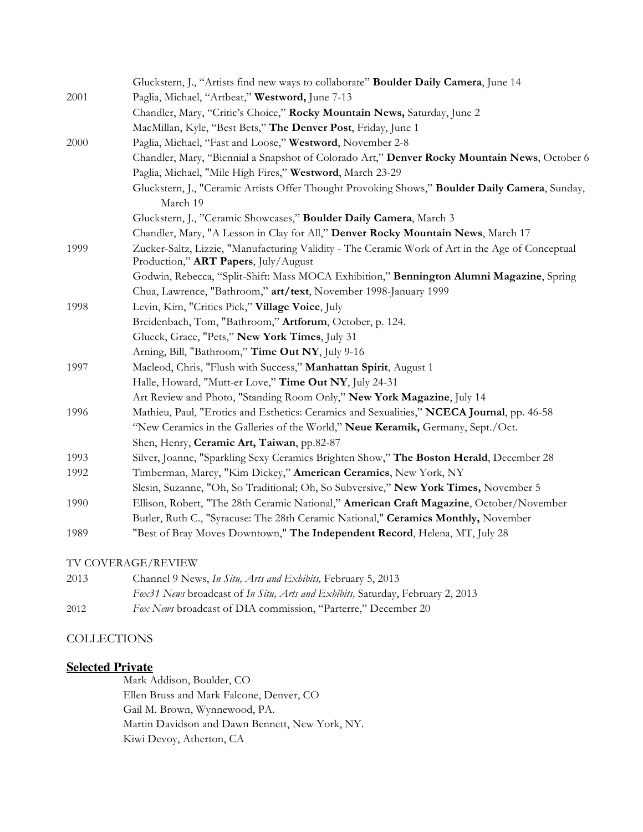|      | Gluckstern, J., "Artists find new ways to collaborate" Boulder Daily Camera, June 14                                                     |
|------|------------------------------------------------------------------------------------------------------------------------------------------|
| 2001 | Paglia, Michael, "Artbeat," Westword, June 7-13                                                                                          |
|      | Chandler, Mary, "Critic's Choice," Rocky Mountain News, Saturday, June 2                                                                 |
|      | MacMillan, Kyle, "Best Bets," The Denver Post, Friday, June 1                                                                            |
| 2000 | Paglia, Michael, "Fast and Loose," Westword, November 2-8                                                                                |
|      | Chandler, Mary, "Biennial a Snapshot of Colorado Art," Denver Rocky Mountain News, October 6                                             |
|      | Paglia, Michael, "Mile High Fires," Westword, March 23-29                                                                                |
|      | Gluckstern, J., "Ceramic Artists Offer Thought Provoking Shows," Boulder Daily Camera, Sunday,                                           |
|      | March 19                                                                                                                                 |
|      | Gluckstern, J., "Ceramic Showcases," Boulder Daily Camera, March 3                                                                       |
|      | Chandler, Mary, "A Lesson in Clay for All," Denver Rocky Mountain News, March 17                                                         |
| 1999 | Zucker-Saltz, Lizzie, "Manufacturing Validity - The Ceramic Work of Art in the Age of Conceptual<br>Production," ART Papers, July/August |
|      | Godwin, Rebecca, "Split-Shift: Mass MOCA Exhibition," Bennington Alumni Magazine, Spring                                                 |
|      | Chua, Lawrence, "Bathroom," art/text, November 1998-January 1999                                                                         |
| 1998 | Levin, Kim, "Critics Pick," Village Voice, July                                                                                          |
|      | Breidenbach, Tom, "Bathroom," Artforum, October, p. 124.                                                                                 |
|      | Glueck, Grace, "Pets," New York Times, July 31                                                                                           |
|      | Arning, Bill, "Bathroom," Time Out NY, July 9-16                                                                                         |
| 1997 | Macleod, Chris, "Flush with Success," Manhattan Spirit, August 1                                                                         |
|      | Halle, Howard, "Mutt-er Love," Time Out NY, July 24-31                                                                                   |
|      | Art Review and Photo, "Standing Room Only," New York Magazine, July 14                                                                   |
| 1996 | Mathieu, Paul, "Erotics and Esthetics: Ceramics and Sexualities," NCECA Journal, pp. 46-58                                               |
|      | "New Ceramics in the Galleries of the World," Neue Keramik, Germany, Sept./Oct.                                                          |
|      | Shen, Henry, Ceramic Art, Taiwan, pp.82-87                                                                                               |
| 1993 | Silver, Joanne, "Sparkling Sexy Ceramics Brighten Show," The Boston Herald, December 28                                                  |
| 1992 | Timberman, Marcy, "Kim Dickey," American Ceramics, New York, NY                                                                          |
|      | Slesin, Suzanne, "Oh, So Traditional; Oh, So Subversive," New York Times, November 5                                                     |
| 1990 | Ellison, Robert, "The 28th Ceramic National," American Craft Magazine, October/November                                                  |
|      | Butler, Ruth C., "Syracuse: The 28th Ceramic National," Ceramics Monthly, November                                                       |
| 1989 | "Best of Bray Moves Downtown," The Independent Record, Helena, MT, July 28                                                               |
|      | TV COVERAGE/REVIEW                                                                                                                       |

| 2013 | Channel 9 News, In Situ, Arts and Exhibits, February 5, 2013                   |
|------|--------------------------------------------------------------------------------|
|      | Fox31 News broadcast of In Situ, Arts and Exhibits, Saturday, February 2, 2013 |
| 2012 | <i>Fox News</i> broadcast of DIA commission, "Parterre," December 20           |

## **COLLECTIONS**

# **Selected Private**

Mark Addison, Boulder, CO Ellen Bruss and Mark Falcone, Denver, CO Gail M. Brown, Wynnewood, PA. Martin Davidson and Dawn Bennett, New York, NY. Kiwi Devoy, Atherton, CA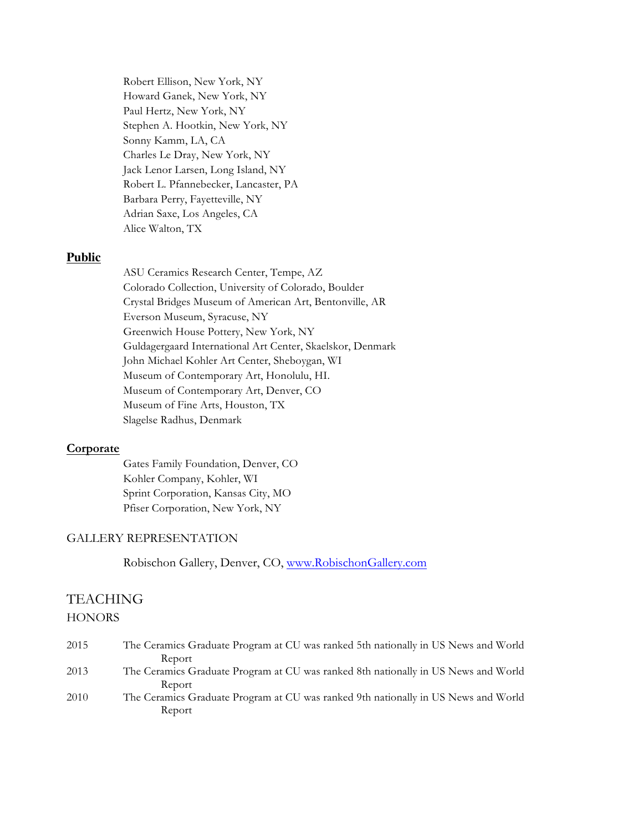Robert Ellison, New York, NY Howard Ganek, New York, NY Paul Hertz, New York, NY Stephen A. Hootkin, New York, NY Sonny Kamm, LA, CA Charles Le Dray, New York, NY Jack Lenor Larsen, Long Island, NY Robert L. Pfannebecker, Lancaster, PA Barbara Perry, Fayetteville, NY Adrian Saxe, Los Angeles, CA Alice Walton, TX

#### **Public**

ASU Ceramics Research Center, Tempe, AZ Colorado Collection, University of Colorado, Boulder Crystal Bridges Museum of American Art, Bentonville, AR Everson Museum, Syracuse, NY Greenwich House Pottery, New York, NY Guldagergaard International Art Center, Skaelskor, Denmark John Michael Kohler Art Center, Sheboygan, WI Museum of Contemporary Art, Honolulu, HI. Museum of Contemporary Art, Denver, CO Museum of Fine Arts, Houston, TX Slagelse Radhus, Denmark

#### **Corporate**

Gates Family Foundation, Denver, CO Kohler Company, Kohler, WI Sprint Corporation, Kansas City, MO Pfiser Corporation, New York, NY

#### GALLERY REPRESENTATION

Robischon Gallery, Denver, CO, www.RobischonGallery.com

## TEACHING

#### **HONORS**

| 2015 | The Ceramics Graduate Program at CU was ranked 5th nationally in US News and World |
|------|------------------------------------------------------------------------------------|
|      | Report                                                                             |
| 2013 | The Ceramics Graduate Program at CU was ranked 8th nationally in US News and World |
|      | Report                                                                             |
| 2010 | The Ceramics Graduate Program at CU was ranked 9th nationally in US News and World |
|      | Report                                                                             |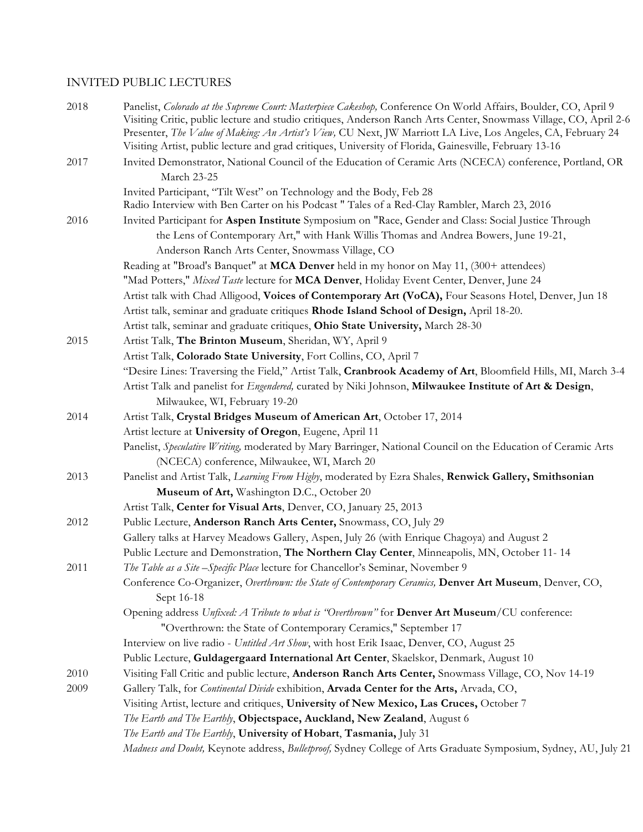## INVITED PUBLIC LECTURES

| 2018 | Panelist, Colorado at the Supreme Court: Masterpiece Cakeshop, Conference On World Affairs, Boulder, CO, April 9<br>Visiting Critic, public lecture and studio critiques, Anderson Ranch Arts Center, Snowmass Village, CO, April 2-6<br>Presenter, The Value of Making: An Artist's View, CU Next, JW Marriott LA Live, Los Angeles, CA, February 24<br>Visiting Artist, public lecture and grad critiques, University of Florida, Gainesville, February 13-16 |
|------|-----------------------------------------------------------------------------------------------------------------------------------------------------------------------------------------------------------------------------------------------------------------------------------------------------------------------------------------------------------------------------------------------------------------------------------------------------------------|
| 2017 | Invited Demonstrator, National Council of the Education of Ceramic Arts (NCECA) conference, Portland, OR<br>March 23-25                                                                                                                                                                                                                                                                                                                                         |
|      | Invited Participant, "Tilt West" on Technology and the Body, Feb 28                                                                                                                                                                                                                                                                                                                                                                                             |
|      | Radio Interview with Ben Carter on his Podcast " Tales of a Red-Clay Rambler, March 23, 2016                                                                                                                                                                                                                                                                                                                                                                    |
| 2016 | Invited Participant for Aspen Institute Symposium on "Race, Gender and Class: Social Justice Through                                                                                                                                                                                                                                                                                                                                                            |
|      | the Lens of Contemporary Art," with Hank Willis Thomas and Andrea Bowers, June 19-21,                                                                                                                                                                                                                                                                                                                                                                           |
|      | Anderson Ranch Arts Center, Snowmass Village, CO                                                                                                                                                                                                                                                                                                                                                                                                                |
|      | Reading at "Broad's Banquet" at MCA Denver held in my honor on May 11, (300+ attendees)                                                                                                                                                                                                                                                                                                                                                                         |
|      | "Mad Potters," Mixed Taste lecture for MCA Denver, Holiday Event Center, Denver, June 24                                                                                                                                                                                                                                                                                                                                                                        |
|      | Artist talk with Chad Alligood, Voices of Contemporary Art (VoCA), Four Seasons Hotel, Denver, Jun 18                                                                                                                                                                                                                                                                                                                                                           |
|      | Artist talk, seminar and graduate critiques Rhode Island School of Design, April 18-20.                                                                                                                                                                                                                                                                                                                                                                         |
|      | Artist talk, seminar and graduate critiques, Ohio State University, March 28-30                                                                                                                                                                                                                                                                                                                                                                                 |
| 2015 | Artist Talk, The Brinton Museum, Sheridan, WY, April 9                                                                                                                                                                                                                                                                                                                                                                                                          |
|      | Artist Talk, Colorado State University, Fort Collins, CO, April 7                                                                                                                                                                                                                                                                                                                                                                                               |
|      | "Desire Lines: Traversing the Field," Artist Talk, Cranbrook Academy of Art, Bloomfield Hills, MI, March 3-4                                                                                                                                                                                                                                                                                                                                                    |
|      | Artist Talk and panelist for <i>Engendered</i> , curated by Niki Johnson, Milwaukee Institute of Art & Design,                                                                                                                                                                                                                                                                                                                                                  |
|      | Milwaukee, WI, February 19-20                                                                                                                                                                                                                                                                                                                                                                                                                                   |
| 2014 | Artist Talk, Crystal Bridges Museum of American Art, October 17, 2014                                                                                                                                                                                                                                                                                                                                                                                           |
|      | Artist lecture at University of Oregon, Eugene, April 11                                                                                                                                                                                                                                                                                                                                                                                                        |
|      | Panelist, Speculative Writing, moderated by Mary Barringer, National Council on the Education of Ceramic Arts                                                                                                                                                                                                                                                                                                                                                   |
|      | (NCECA) conference, Milwaukee, WI, March 20                                                                                                                                                                                                                                                                                                                                                                                                                     |
| 2013 | Panelist and Artist Talk, Learning From Higby, moderated by Ezra Shales, Renwick Gallery, Smithsonian                                                                                                                                                                                                                                                                                                                                                           |
|      | Museum of Art, Washington D.C., October 20                                                                                                                                                                                                                                                                                                                                                                                                                      |
|      | Artist Talk, Center for Visual Arts, Denver, CO, January 25, 2013                                                                                                                                                                                                                                                                                                                                                                                               |
| 2012 | Public Lecture, Anderson Ranch Arts Center, Snowmass, CO, July 29                                                                                                                                                                                                                                                                                                                                                                                               |
|      | Gallery talks at Harvey Meadows Gallery, Aspen, July 26 (with Enrique Chagoya) and August 2                                                                                                                                                                                                                                                                                                                                                                     |
|      | Public Lecture and Demonstration, The Northern Clay Center, Minneapolis, MN, October 11-14                                                                                                                                                                                                                                                                                                                                                                      |
| 2011 | The Table as a Site-Specific Place lecture for Chancellor's Seminar, November 9                                                                                                                                                                                                                                                                                                                                                                                 |
|      | Conference Co-Organizer, Overthrown: the State of Contemporary Ceramics, Denver Art Museum, Denver, CO,<br>Sept 16-18                                                                                                                                                                                                                                                                                                                                           |
|      | Opening address Unfixed: A Tribute to what is "Overthrown" for Denver Art Museum/CU conference:                                                                                                                                                                                                                                                                                                                                                                 |
|      | "Overthrown: the State of Contemporary Ceramics," September 17                                                                                                                                                                                                                                                                                                                                                                                                  |
|      | Interview on live radio - Untitled Art Show, with host Erik Isaac, Denver, CO, August 25                                                                                                                                                                                                                                                                                                                                                                        |
|      | Public Lecture, Guldagergaard International Art Center, Skaelskor, Denmark, August 10                                                                                                                                                                                                                                                                                                                                                                           |
| 2010 | Visiting Fall Critic and public lecture, Anderson Ranch Arts Center, Snowmass Village, CO, Nov 14-19                                                                                                                                                                                                                                                                                                                                                            |
| 2009 | Gallery Talk, for Continental Divide exhibition, Arvada Center for the Arts, Arvada, CO,                                                                                                                                                                                                                                                                                                                                                                        |
|      | Visiting Artist, lecture and critiques, University of New Mexico, Las Cruces, October 7                                                                                                                                                                                                                                                                                                                                                                         |
|      | The Earth and The Earthly, Objectspace, Auckland, New Zealand, August 6                                                                                                                                                                                                                                                                                                                                                                                         |
|      | The Earth and The Earthly, University of Hobart, Tasmania, July 31                                                                                                                                                                                                                                                                                                                                                                                              |
|      | Madness and Doubt, Keynote address, Bulletproof, Sydney College of Arts Graduate Symposium, Sydney, AU, July 21                                                                                                                                                                                                                                                                                                                                                 |
|      |                                                                                                                                                                                                                                                                                                                                                                                                                                                                 |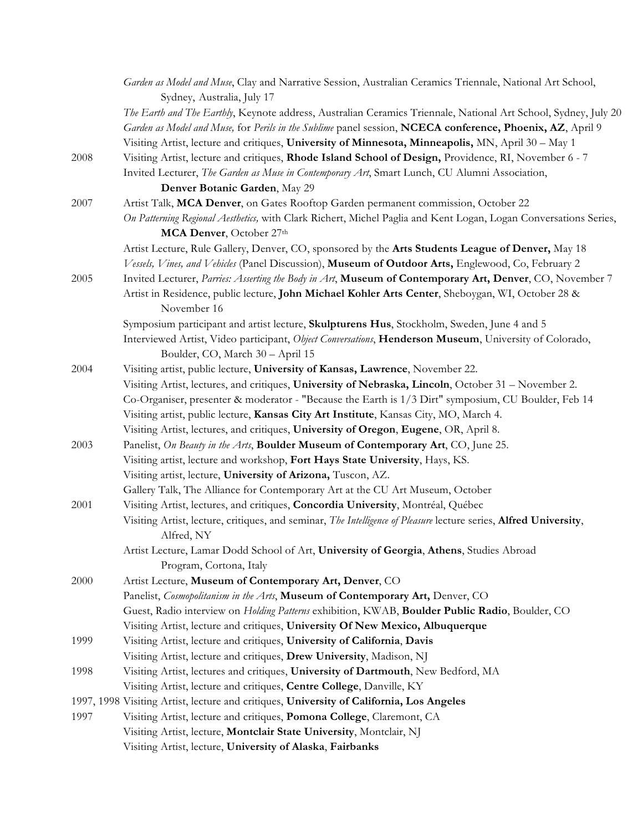|      | Garden as Model and Muse, Clay and Narrative Session, Australian Ceramics Triennale, National Art School,<br>Sydney, Australia, July 17      |
|------|----------------------------------------------------------------------------------------------------------------------------------------------|
|      | The Earth and The Earthly, Keynote address, Australian Ceramics Triennale, National Art School, Sydney, July 20                              |
|      | Garden as Model and Muse, for Perils in the Sublime panel session, NCECA conference, Phoenix, AZ, April 9                                    |
|      | Visiting Artist, lecture and critiques, University of Minnesota, Minneapolis, MN, April 30 - May 1                                           |
| 2008 | Visiting Artist, lecture and critiques, Rhode Island School of Design, Providence, RI, November 6 - 7                                        |
|      | Invited Lecturer, The Garden as Muse in Contemporary Art, Smart Lunch, CU Alumni Association,                                                |
|      | Denver Botanic Garden, May 29                                                                                                                |
| 2007 | Artist Talk, MCA Denver, on Gates Rooftop Garden permanent commission, October 22                                                            |
|      | On Patterning Regional Aesthetics, with Clark Richert, Michel Paglia and Kent Logan, Logan Conversations Series,<br>MCA Denver, October 27th |
|      | Artist Lecture, Rule Gallery, Denver, CO, sponsored by the Arts Students League of Denver, May 18                                            |
|      | Vessels, Vines, and Vehicles (Panel Discussion), Museum of Outdoor Arts, Englewood, Co, February 2                                           |
| 2005 | Invited Lecturer, Parries: Asserting the Body in Art, Museum of Contemporary Art, Denver, CO, November 7                                     |
|      | Artist in Residence, public lecture, John Michael Kohler Arts Center, Sheboygan, WI, October 28 &<br>November 16                             |
|      | Symposium participant and artist lecture, Skulpturens Hus, Stockholm, Sweden, June 4 and 5                                                   |
|      | Interviewed Artist, Video participant, Object Conversations, Henderson Museum, University of Colorado,<br>Boulder, CO, March 30 - April 15   |
| 2004 | Visiting artist, public lecture, University of Kansas, Lawrence, November 22.                                                                |
|      | Visiting Artist, lectures, and critiques, University of Nebraska, Lincoln, October 31 - November 2.                                          |
|      | Co-Organiser, presenter & moderator - "Because the Earth is 1/3 Dirt" symposium, CU Boulder, Feb 14                                          |
|      | Visiting artist, public lecture, Kansas City Art Institute, Kansas City, MO, March 4.                                                        |
|      | Visiting Artist, lectures, and critiques, University of Oregon, Eugene, OR, April 8.                                                         |
| 2003 | Panelist, On Beauty in the Arts, Boulder Museum of Contemporary Art, CO, June 25.                                                            |
|      | Visiting artist, lecture and workshop, Fort Hays State University, Hays, KS.                                                                 |
|      | Visiting artist, lecture, University of Arizona, Tuscon, AZ.                                                                                 |
|      | Gallery Talk, The Alliance for Contemporary Art at the CU Art Museum, October                                                                |
| 2001 | Visiting Artist, lectures, and critiques, Concordia University, Montréal, Québec                                                             |
|      | Visiting Artist, lecture, critiques, and seminar, The Intelligence of Pleasure lecture series, Alfred University,<br>Alfred, NY              |
|      | Artist Lecture, Lamar Dodd School of Art, University of Georgia, Athens, Studies Abroad                                                      |
|      | Program, Cortona, Italy                                                                                                                      |
| 2000 | Artist Lecture, Museum of Contemporary Art, Denver, CO                                                                                       |
|      | Panelist, Cosmopolitanism in the Arts, Museum of Contemporary Art, Denver, CO                                                                |
|      | Guest, Radio interview on Holding Patterns exhibition, KWAB, Boulder Public Radio, Boulder, CO                                               |
|      | Visiting Artist, lecture and critiques, University Of New Mexico, Albuquerque                                                                |
| 1999 | Visiting Artist, lecture and critiques, University of California, Davis                                                                      |
|      | Visiting Artist, lecture and critiques, Drew University, Madison, NJ                                                                         |
| 1998 | Visiting Artist, lectures and critiques, University of Dartmouth, New Bedford, MA                                                            |
|      | Visiting Artist, lecture and critiques, Centre College, Danville, KY                                                                         |
|      | 1997, 1998 Visiting Artist, lecture and critiques, University of California, Los Angeles                                                     |
| 1997 | Visiting Artist, lecture and critiques, Pomona College, Claremont, CA                                                                        |
|      | Visiting Artist, lecture, Montclair State University, Montclair, NJ                                                                          |
|      | Visiting Artist, lecture, University of Alaska, Fairbanks                                                                                    |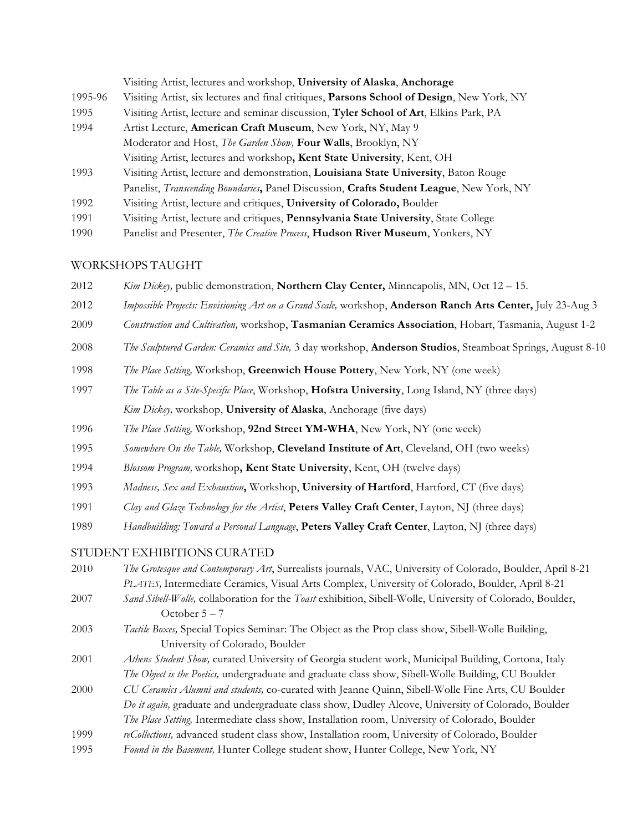|         | Visiting Artist, lectures and workshop, University of Alaska, Anchorage                          |  |
|---------|--------------------------------------------------------------------------------------------------|--|
| 1995-96 | Visiting Artist, six lectures and final critiques, Parsons School of Design, New York, NY        |  |
| 1995    | Visiting Artist, lecture and seminar discussion, Tyler School of Art, Elkins Park, PA            |  |
| 1994    | Artist Lecture, American Craft Museum, New York, NY, May 9                                       |  |
|         | Moderator and Host, The Garden Show, Four Walls, Brooklyn, NY                                    |  |
|         | Visiting Artist, lectures and workshop, Kent State University, Kent, OH                          |  |
| 1993    | Visiting Artist, lecture and demonstration, Louisiana State University, Baton Rouge              |  |
|         | Panelist, <i>Transcending Boundaries</i> , Panel Discussion, Crafts Student League, New York, NY |  |
| 1992    | Visiting Artist, lecture and critiques, University of Colorado, Boulder                          |  |
| 1991    | Visiting Artist, lecture and critiques, Pennsylvania State University, State College             |  |
| 1990    | Panelist and Presenter, <i>The Creative Process</i> , <b>Hudson River Museum</b> , Yonkers, NY   |  |

### WORKSHOPS TAUGHT

- *Kim Dickey,* public demonstration, **Northern Clay Center,** Minneapolis, MN, Oct 12 15.
- *Impossible Projects: Envisioning Art on a Grand Scale,* workshop, **Anderson Ranch Arts Center,** July 23-Aug 3
- *Construction and Cultivation,* workshop, **Tasmanian Ceramics Association**, Hobart, Tasmania, August 1-2
- *The Sculptured Garden: Ceramics and Site,* 3 day workshop, **Anderson Studios**, Steamboat Springs, August 8-10
- *The Place Setting,* Workshop, **Greenwich House Pottery**, New York, NY (one week)
- *The Table as a Site-Specific Place*, Workshop, **Hofstra University**, Long Island, NY (three days) *Kim Dickey,* workshop, **University of Alaska**, Anchorage (five days)
- *The Place Setting,* Workshop, **92nd Street YM-WHA**, New York, NY (one week)
- *Somewhere On the Table,* Workshop, **Cleveland Institute of Art**, Cleveland, OH (two weeks)
- *Blossom Program,* workshop**, Kent State University**, Kent, OH (twelve days)
- *Madness, Sex and Exhaustion***,** Workshop, **University of Hartford**, Hartford, CT (five days)
- *Clay and Glaze Technology for the Artist*, **Peters Valley Craft Center**, Layton, NJ (three days)
- *Handbuilding: Toward a Personal Language*, **Peters Valley Craft Center**, Layton, NJ (three days)

#### STUDENT EXHIBITIONS CURATED

- *The Grotesque and Contemporary Art*, Surrealists journals, VAC, University of Colorado, Boulder, April 8-21 *PLATES,* Intermediate Ceramics, Visual Arts Complex, University of Colorado, Boulder, April 8-21
- *Sand Sibell-Wolle,* collaboration for the *Toast* exhibition, Sibell-Wolle, University of Colorado, Boulder, October 5 – 7
- *Tactile Boxes,* Special Topics Seminar: The Object as the Prop class show, Sibell-Wolle Building, University of Colorado, Boulder
- *Athens Student Show,* curated University of Georgia student work, Municipal Building, Cortona, Italy *The Object is the Poetics,* undergraduate and graduate class show, Sibell-Wolle Building, CU Boulder
- *CU Ceramics Alumni and students,* co-curated with Jeanne Quinn, Sibell-Wolle Fine Arts, CU Boulder *Do it again,* graduate and undergraduate class show, Dudley Alcove, University of Colorado, Boulder *The Place Setting,* Intermediate class show, Installation room, University of Colorado, Boulder
- *reCollections,* advanced student class show, Installation room, University of Colorado, Boulder
- *Found in the Basement,* Hunter College student show, Hunter College, New York, NY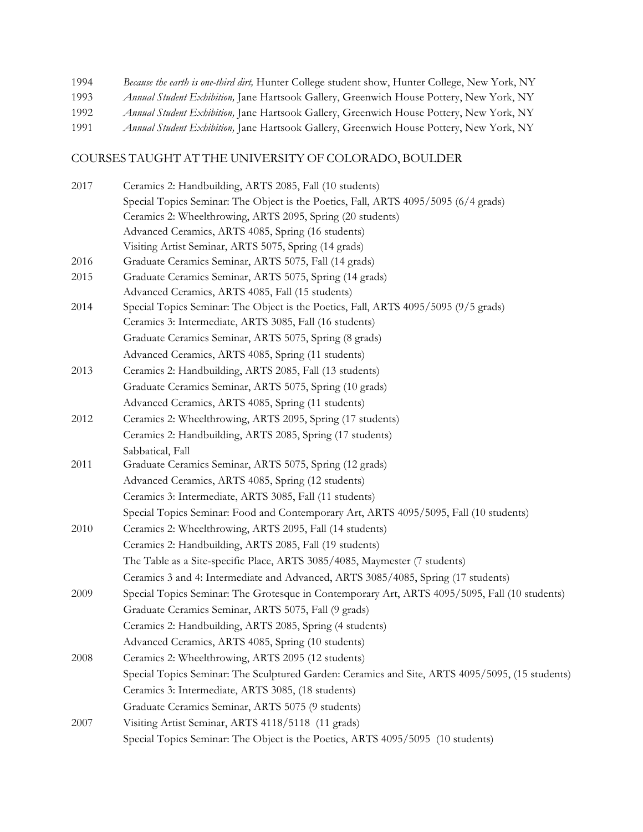*Because the earth is one-third dirt,* Hunter College student show, Hunter College, New York, NY *Annual Student Exhibition,* Jane Hartsook Gallery, Greenwich House Pottery, New York, NY *Annual Student Exhibition,* Jane Hartsook Gallery, Greenwich House Pottery, New York, NY *Annual Student Exhibition,* Jane Hartsook Gallery, Greenwich House Pottery, New York, NY

## COURSES TAUGHT AT THE UNIVERSITY OF COLORADO, BOULDER

| 2017 | Ceramics 2: Handbuilding, ARTS 2085, Fall (10 students)                                         |
|------|-------------------------------------------------------------------------------------------------|
|      | Special Topics Seminar: The Object is the Poetics, Fall, ARTS 4095/5095 (6/4 grads)             |
|      | Ceramics 2: Wheelthrowing, ARTS 2095, Spring (20 students)                                      |
|      | Advanced Ceramics, ARTS 4085, Spring (16 students)                                              |
|      | Visiting Artist Seminar, ARTS 5075, Spring (14 grads)                                           |
| 2016 | Graduate Ceramics Seminar, ARTS 5075, Fall (14 grads)                                           |
| 2015 | Graduate Ceramics Seminar, ARTS 5075, Spring (14 grads)                                         |
|      | Advanced Ceramics, ARTS 4085, Fall (15 students)                                                |
| 2014 | Special Topics Seminar: The Object is the Poetics, Fall, ARTS 4095/5095 (9/5 grads)             |
|      | Ceramics 3: Intermediate, ARTS 3085, Fall (16 students)                                         |
|      | Graduate Ceramics Seminar, ARTS 5075, Spring (8 grads)                                          |
|      | Advanced Ceramics, ARTS 4085, Spring (11 students)                                              |
| 2013 | Ceramics 2: Handbuilding, ARTS 2085, Fall (13 students)                                         |
|      | Graduate Ceramics Seminar, ARTS 5075, Spring (10 grads)                                         |
|      | Advanced Ceramics, ARTS 4085, Spring (11 students)                                              |
| 2012 | Ceramics 2: Wheelthrowing, ARTS 2095, Spring (17 students)                                      |
|      | Ceramics 2: Handbuilding, ARTS 2085, Spring (17 students)                                       |
|      | Sabbatical, Fall                                                                                |
| 2011 | Graduate Ceramics Seminar, ARTS 5075, Spring (12 grads)                                         |
|      | Advanced Ceramics, ARTS 4085, Spring (12 students)                                              |
|      | Ceramics 3: Intermediate, ARTS 3085, Fall (11 students)                                         |
|      | Special Topics Seminar: Food and Contemporary Art, ARTS 4095/5095, Fall (10 students)           |
| 2010 | Ceramics 2: Wheelthrowing, ARTS 2095, Fall (14 students)                                        |
|      | Ceramics 2: Handbuilding, ARTS 2085, Fall (19 students)                                         |
|      | The Table as a Site-specific Place, ARTS 3085/4085, Maymester (7 students)                      |
|      | Ceramics 3 and 4: Intermediate and Advanced, ARTS 3085/4085, Spring (17 students)               |
| 2009 | Special Topics Seminar: The Grotesque in Contemporary Art, ARTS 4095/5095, Fall (10 students)   |
|      | Graduate Ceramics Seminar, ARTS 5075, Fall (9 grads)                                            |
|      | Ceramics 2: Handbuilding, ARTS 2085, Spring (4 students)                                        |
|      | Advanced Ceramics, ARTS 4085, Spring (10 students)                                              |
| 2008 | Ceramics 2: Wheelthrowing, ARTS 2095 (12 students)                                              |
|      | Special Topics Seminar: The Sculptured Garden: Ceramics and Site, ARTS 4095/5095, (15 students) |
|      | Ceramics 3: Intermediate, ARTS 3085, (18 students)                                              |
|      | Graduate Ceramics Seminar, ARTS 5075 (9 students)                                               |
| 2007 | Visiting Artist Seminar, ARTS 4118/5118 (11 grads)                                              |
|      | Special Topics Seminar: The Object is the Poetics, ARTS 4095/5095 (10 students)                 |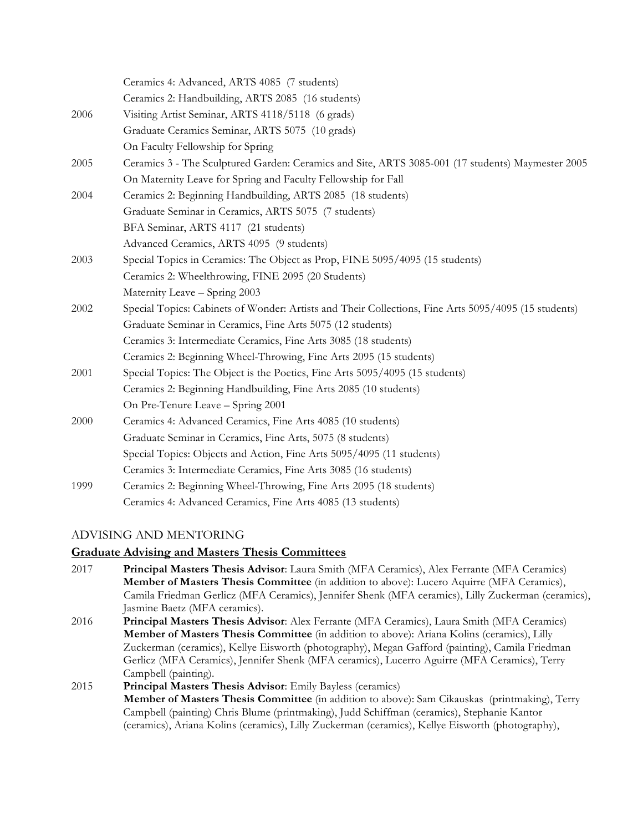|      | Ceramics 4: Advanced, ARTS 4085 (7 students)                                                         |
|------|------------------------------------------------------------------------------------------------------|
|      | Ceramics 2: Handbuilding, ARTS 2085 (16 students)                                                    |
| 2006 | Visiting Artist Seminar, ARTS 4118/5118 (6 grads)                                                    |
|      | Graduate Ceramics Seminar, ARTS 5075 (10 grads)                                                      |
|      | On Faculty Fellowship for Spring                                                                     |
| 2005 | Ceramics 3 - The Sculptured Garden: Ceramics and Site, ARTS 3085-001 (17 students) Maymester 2005    |
|      | On Maternity Leave for Spring and Faculty Fellowship for Fall                                        |
| 2004 | Ceramics 2: Beginning Handbuilding, ARTS 2085 (18 students)                                          |
|      | Graduate Seminar in Ceramics, ARTS 5075 (7 students)                                                 |
|      | BFA Seminar, ARTS 4117 (21 students)                                                                 |
|      | Advanced Ceramics, ARTS 4095 (9 students)                                                            |
| 2003 | Special Topics in Ceramics: The Object as Prop, FINE 5095/4095 (15 students)                         |
|      | Ceramics 2: Wheelthrowing, FINE 2095 (20 Students)                                                   |
|      | Maternity Leave - Spring 2003                                                                        |
| 2002 | Special Topics: Cabinets of Wonder: Artists and Their Collections, Fine Arts 5095/4095 (15 students) |
|      | Graduate Seminar in Ceramics, Fine Arts 5075 (12 students)                                           |
|      | Ceramics 3: Intermediate Ceramics, Fine Arts 3085 (18 students)                                      |
|      | Ceramics 2: Beginning Wheel-Throwing, Fine Arts 2095 (15 students)                                   |
| 2001 | Special Topics: The Object is the Poetics, Fine Arts 5095/4095 (15 students)                         |
|      | Ceramics 2: Beginning Handbuilding, Fine Arts 2085 (10 students)                                     |
|      | On Pre-Tenure Leave - Spring 2001                                                                    |
| 2000 | Ceramics 4: Advanced Ceramics, Fine Arts 4085 (10 students)                                          |
|      | Graduate Seminar in Ceramics, Fine Arts, 5075 (8 students)                                           |
|      | Special Topics: Objects and Action, Fine Arts 5095/4095 (11 students)                                |
|      | Ceramics 3: Intermediate Ceramics, Fine Arts 3085 (16 students)                                      |
| 1999 | Ceramics 2: Beginning Wheel-Throwing, Fine Arts 2095 (18 students)                                   |
|      | Ceramics 4: Advanced Ceramics, Fine Arts 4085 (13 students)                                          |

## ADVISING AND MENTORING

### **Graduate Advising and Masters Thesis Committees**

- 2017 **Principal Masters Thesis Advisor**: Laura Smith (MFA Ceramics), Alex Ferrante (MFA Ceramics) **Member of Masters Thesis Committee** (in addition to above): Lucero Aquirre (MFA Ceramics), Camila Friedman Gerlicz (MFA Ceramics), Jennifer Shenk (MFA ceramics), Lilly Zuckerman (ceramics), Jasmine Baetz (MFA ceramics). 2016 **Principal Masters Thesis Advisor**: Alex Ferrante (MFA Ceramics), Laura Smith (MFA Ceramics)
- **Member of Masters Thesis Committee** (in addition to above): Ariana Kolins (ceramics), Lilly Zuckerman (ceramics), Kellye Eisworth (photography), Megan Gafford (painting), Camila Friedman Gerlicz (MFA Ceramics), Jennifer Shenk (MFA ceramics), Lucerro Aguirre (MFA Ceramics), Terry Campbell (painting).
- 2015 **Principal Masters Thesis Advisor**: Emily Bayless (ceramics) **Member of Masters Thesis Committee** (in addition to above): Sam Cikauskas (printmaking), Terry Campbell (painting) Chris Blume (printmaking), Judd Schiffman (ceramics), Stephanie Kantor (ceramics), Ariana Kolins (ceramics), Lilly Zuckerman (ceramics), Kellye Eisworth (photography),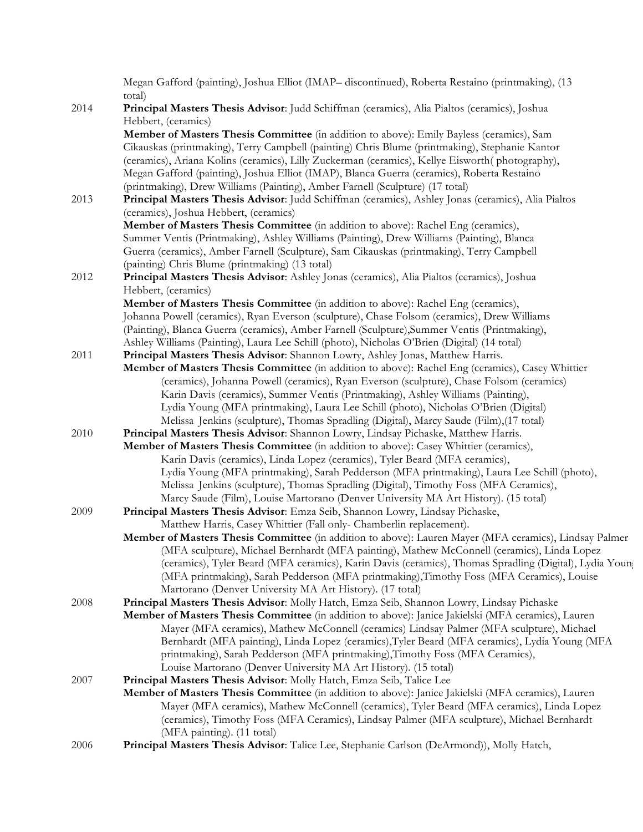Megan Gafford (painting), Joshua Elliot (IMAP– discontinued), Roberta Restaino (printmaking), (13 total)

- 2014 **Principal Masters Thesis Advisor**: Judd Schiffman (ceramics), Alia Pialtos (ceramics), Joshua Hebbert, (ceramics) **Member of Masters Thesis Committee** (in addition to above): Emily Bayless (ceramics), Sam Cikauskas (printmaking), Terry Campbell (painting) Chris Blume (printmaking), Stephanie Kantor (ceramics), Ariana Kolins (ceramics), Lilly Zuckerman (ceramics), Kellye Eisworth( photography), Megan Gafford (painting), Joshua Elliot (IMAP), Blanca Guerra (ceramics), Roberta Restaino (printmaking), Drew Williams (Painting), Amber Farnell (Sculpture) (17 total) 2013 **Principal Masters Thesis Advisor**: Judd Schiffman (ceramics), Ashley Jonas (ceramics), Alia Pialtos (ceramics), Joshua Hebbert, (ceramics) **Member of Masters Thesis Committee** (in addition to above): Rachel Eng (ceramics), Summer Ventis (Printmaking), Ashley Williams (Painting), Drew Williams (Painting), Blanca Guerra (ceramics), Amber Farnell (Sculpture), Sam Cikauskas (printmaking), Terry Campbell (painting) Chris Blume (printmaking) (13 total) 2012 **Principal Masters Thesis Advisor**: Ashley Jonas (ceramics), Alia Pialtos (ceramics), Joshua Hebbert, (ceramics) **Member of Masters Thesis Committee** (in addition to above): Rachel Eng (ceramics), Johanna Powell (ceramics), Ryan Everson (sculpture), Chase Folsom (ceramics), Drew Williams (Painting), Blanca Guerra (ceramics), Amber Farnell (Sculpture),Summer Ventis (Printmaking), Ashley Williams (Painting), Laura Lee Schill (photo), Nicholas O'Brien (Digital) (14 total) 2011 **Principal Masters Thesis Advisor**: Shannon Lowry, Ashley Jonas, Matthew Harris. **Member of Masters Thesis Committee** (in addition to above): Rachel Eng (ceramics), Casey Whittier (ceramics), Johanna Powell (ceramics), Ryan Everson (sculpture), Chase Folsom (ceramics) Karin Davis (ceramics), Summer Ventis (Printmaking), Ashley Williams (Painting), Lydia Young (MFA printmaking), Laura Lee Schill (photo), Nicholas O'Brien (Digital) Melissa Jenkins (sculpture), Thomas Spradling (Digital), Marcy Saude (Film),(17 total) 2010 **Principal Masters Thesis Advisor**: Shannon Lowry, Lindsay Pichaske, Matthew Harris. **Member of Masters Thesis Committee** (in addition to above): Casey Whittier (ceramics), Karin Davis (ceramics), Linda Lopez (ceramics), Tyler Beard (MFA ceramics), Lydia Young (MFA printmaking), Sarah Pedderson (MFA printmaking), Laura Lee Schill (photo), Melissa Jenkins (sculpture), Thomas Spradling (Digital), Timothy Foss (MFA Ceramics), Marcy Saude (Film), Louise Martorano (Denver University MA Art History). (15 total) 2009 **Principal Masters Thesis Advisor**: Emza Seib, Shannon Lowry, Lindsay Pichaske, Matthew Harris, Casey Whittier (Fall only- Chamberlin replacement). **Member of Masters Thesis Committee** (in addition to above): Lauren Mayer (MFA ceramics), Lindsay Palmer (MFA sculpture), Michael Bernhardt (MFA painting), Mathew McConnell (ceramics), Linda Lopez (ceramics), Tyler Beard (MFA ceramics), Karin Davis (ceramics), Thomas Spradling (Digital), Lydia Young (MFA printmaking), Sarah Pedderson (MFA printmaking),Timothy Foss (MFA Ceramics), Louise Martorano (Denver University MA Art History). (17 total) 2008 **Principal Masters Thesis Advisor**: Molly Hatch, Emza Seib, Shannon Lowry, Lindsay Pichaske **Member of Masters Thesis Committee** (in addition to above): Janice Jakielski (MFA ceramics), Lauren Mayer (MFA ceramics), Mathew McConnell (ceramics) Lindsay Palmer (MFA sculpture), Michael Bernhardt (MFA painting), Linda Lopez (ceramics),Tyler Beard (MFA ceramics), Lydia Young (MFA printmaking), Sarah Pedderson (MFA printmaking),Timothy Foss (MFA Ceramics), Louise Martorano (Denver University MA Art History). (15 total) 2007 **Principal Masters Thesis Advisor**: Molly Hatch, Emza Seib, Talice Lee **Member of Masters Thesis Committee** (in addition to above): Janice Jakielski (MFA ceramics), Lauren Mayer (MFA ceramics), Mathew McConnell (ceramics), Tyler Beard (MFA ceramics), Linda Lopez (ceramics), Timothy Foss (MFA Ceramics), Lindsay Palmer (MFA sculpture), Michael Bernhardt (MFA painting). (11 total)
- 2006 **Principal Masters Thesis Advisor**: Talice Lee, Stephanie Carlson (DeArmond)), Molly Hatch,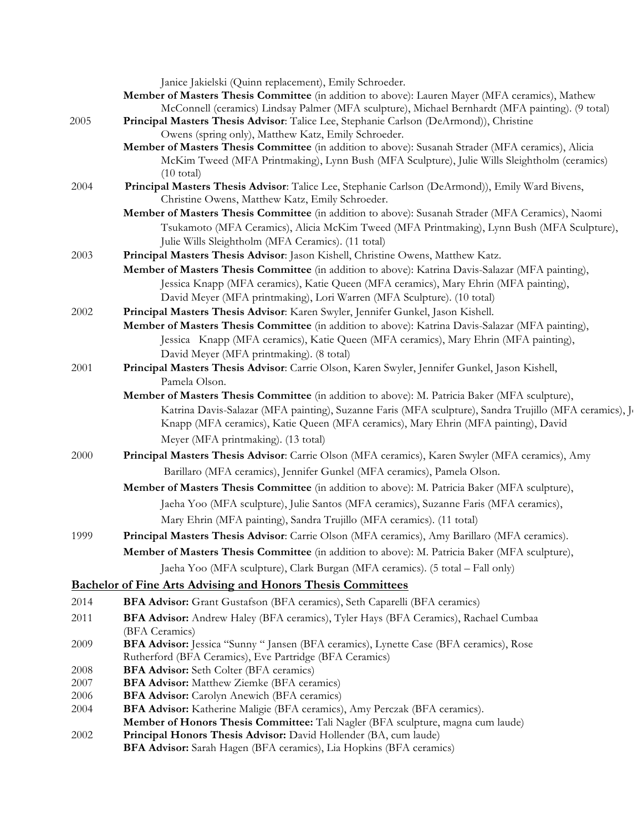|          | Janice Jakielski (Quinn replacement), Emily Schroeder.                                                                                              |
|----------|-----------------------------------------------------------------------------------------------------------------------------------------------------|
|          | Member of Masters Thesis Committee (in addition to above): Lauren Mayer (MFA ceramics), Mathew                                                      |
|          | McConnell (ceramics) Lindsay Palmer (MFA sculpture), Michael Bernhardt (MFA painting). (9 total)                                                    |
| 2005     | Principal Masters Thesis Advisor: Talice Lee, Stephanie Carlson (DeArmond)), Christine                                                              |
|          | Owens (spring only), Matthew Katz, Emily Schroeder.                                                                                                 |
|          | Member of Masters Thesis Committee (in addition to above): Susanah Strader (MFA ceramics), Alicia                                                   |
|          | McKim Tweed (MFA Printmaking), Lynn Bush (MFA Sculpture), Julie Wills Sleightholm (ceramics)                                                        |
|          | $(10 \text{ total})$                                                                                                                                |
| 2004     | Principal Masters Thesis Advisor: Talice Lee, Stephanie Carlson (DeArmond)), Emily Ward Bivens,                                                     |
|          | Christine Owens, Matthew Katz, Emily Schroeder.<br>Member of Masters Thesis Committee (in addition to above): Susanah Strader (MFA Ceramics), Naomi |
|          | Tsukamoto (MFA Ceramics), Alicia McKim Tweed (MFA Printmaking), Lynn Bush (MFA Sculpture),                                                          |
|          | Julie Wills Sleightholm (MFA Ceramics). (11 total)                                                                                                  |
| 2003     | Principal Masters Thesis Advisor: Jason Kishell, Christine Owens, Matthew Katz.                                                                     |
|          | Member of Masters Thesis Committee (in addition to above): Katrina Davis-Salazar (MFA painting),                                                    |
|          | Jessica Knapp (MFA ceramics), Katie Queen (MFA ceramics), Mary Ehrin (MFA painting),                                                                |
|          | David Meyer (MFA printmaking), Lori Warren (MFA Sculpture). (10 total)                                                                              |
| 2002     | Principal Masters Thesis Advisor: Karen Swyler, Jennifer Gunkel, Jason Kishell.                                                                     |
|          | Member of Masters Thesis Committee (in addition to above): Katrina Davis-Salazar (MFA painting),                                                    |
|          | Jessica Knapp (MFA ceramics), Katie Queen (MFA ceramics), Mary Ehrin (MFA painting),                                                                |
|          | David Meyer (MFA printmaking). (8 total)                                                                                                            |
| 2001     | Principal Masters Thesis Advisor: Carrie Olson, Karen Swyler, Jennifer Gunkel, Jason Kishell,                                                       |
|          | Pamela Olson.                                                                                                                                       |
|          | Member of Masters Thesis Committee (in addition to above): M. Patricia Baker (MFA sculpture),                                                       |
|          | Katrina Davis-Salazar (MFA painting), Suzanne Faris (MFA sculpture), Sandra Trujillo (MFA ceramics), Jo                                             |
|          | Knapp (MFA ceramics), Katie Queen (MFA ceramics), Mary Ehrin (MFA painting), David                                                                  |
|          | Meyer (MFA printmaking). (13 total)                                                                                                                 |
| 2000     | Principal Masters Thesis Advisor: Carrie Olson (MFA ceramics), Karen Swyler (MFA ceramics), Amy                                                     |
|          | Barillaro (MFA ceramics), Jennifer Gunkel (MFA ceramics), Pamela Olson.                                                                             |
|          |                                                                                                                                                     |
|          | Member of Masters Thesis Committee (in addition to above): M. Patricia Baker (MFA sculpture),                                                       |
|          | Jaeha Yoo (MFA sculpture), Julie Santos (MFA ceramics), Suzanne Faris (MFA ceramics),                                                               |
|          | Mary Ehrin (MFA painting), Sandra Trujillo (MFA ceramics). (11 total)                                                                               |
| 1999     | Principal Masters Thesis Advisor: Carrie Olson (MFA ceramics), Amy Barillaro (MFA ceramics).                                                        |
|          | Member of Masters Thesis Committee (in addition to above): M. Patricia Baker (MFA sculpture),                                                       |
|          | Jaeha Yoo (MFA sculpture), Clark Burgan (MFA ceramics). (5 total - Fall only)                                                                       |
|          | <b>Bachelor of Fine Arts Advising and Honors Thesis Committees</b>                                                                                  |
| 2014     | BFA Advisor: Grant Gustafson (BFA ceramics), Seth Caparelli (BFA ceramics)                                                                          |
| 2011     | BFA Advisor: Andrew Haley (BFA ceramics), Tyler Hays (BFA Ceramics), Rachael Cumbaa                                                                 |
|          | (BFA Ceramics)                                                                                                                                      |
| 2009     | BFA Advisor: Jessica "Sunny " Jansen (BFA ceramics), Lynette Case (BFA ceramics), Rose                                                              |
|          | Rutherford (BFA Ceramics), Eve Partridge (BFA Ceramics)                                                                                             |
| 2008     | <b>BFA Advisor:</b> Seth Colter (BFA ceramics)                                                                                                      |
| $2007\,$ | <b>BFA Advisor:</b> Matthew Ziemke (BFA ceramics)                                                                                                   |
| 2006     | <b>BFA Advisor:</b> Carolyn Anewich (BFA ceramics)                                                                                                  |
| 2004     | BFA Advisor: Katherine Maligie (BFA ceramics), Amy Perczak (BFA ceramics).                                                                          |
|          | Member of Honors Thesis Committee: Tali Nagler (BFA sculpture, magna cum laude)                                                                     |
| 2002     | Principal Honors Thesis Advisor: David Hollender (BA, cum laude)                                                                                    |
|          | BFA Advisor: Sarah Hagen (BFA ceramics), Lia Hopkins (BFA ceramics)                                                                                 |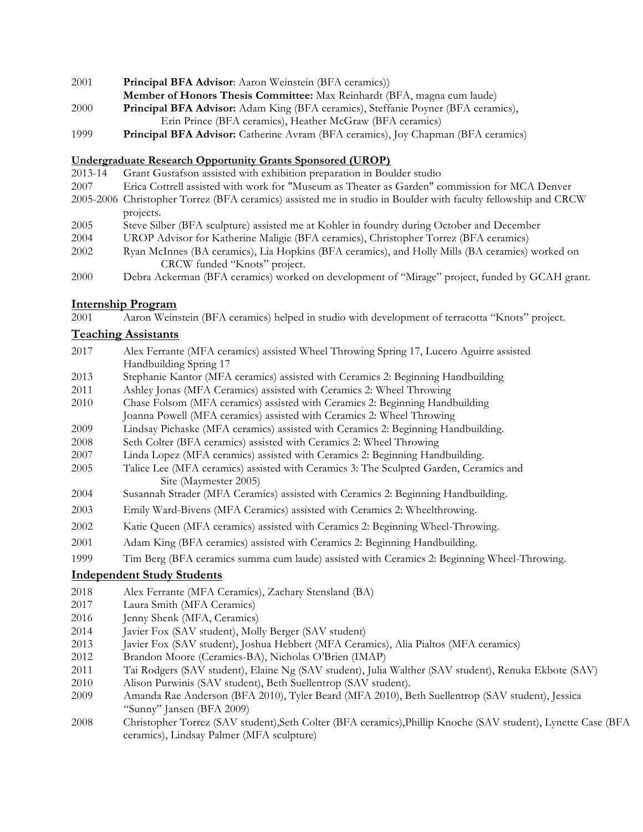- **Principal BFA Advisor**: Aaron Weinstein (BFA ceramics))
- **Member of Honors Thesis Committee:** Max Reinhardt (BFA, magna cum laude)
- **Principal BFA Advisor:** Adam King (BFA ceramics), Steffanie Poyner (BFA ceramics), Erin Prince (BFA ceramics), Heather McGraw (BFA ceramics)
- **Principal BFA Advisor:** Catherine Avram (BFA ceramics), Joy Chapman (BFA ceramics)

#### **Undergraduate Research Opportunity Grants Sponsored (UROP)**

- 2013-14 Grant Gustafson assisted with exhibition preparation in Boulder studio
- Erica Cottrell assisted with work for "Museum as Theater as Garden" commission for MCA Denver
- 2005-2006 Christopher Torrez (BFA ceramics) assisted me in studio in Boulder with faculty fellowship and CRCW projects.
- Steve Silber (BFA sculpture) assisted me at Kohler in foundry during October and December
- UROP Advisor for Katherine Maligie (BFA ceramics), Christopher Torrez (BFA ceramics)
- Ryan McInnes (BA ceramics), Lia Hopkins (BFA ceramics), and Holly Mills (BA ceramics) worked on CRCW funded "Knots" project.
- Debra Ackerman (BFA ceramics) worked on development of "Mirage" project, funded by GCAH grant.

#### **Internship Program**

Aaron Weinstein (BFA ceramics) helped in studio with development of terracotta "Knots" project.

### **Teaching Assistants**

- Alex Ferrante (MFA ceramics) assisted Wheel Throwing Spring 17, Lucero Aguirre assisted Handbuilding Spring 17
- Stephanie Kantor (MFA ceramics) assisted with Ceramics 2: Beginning Handbuilding
- 2011 Ashley Jonas (MFA Ceramics) assisted with Ceramics 2: Wheel Throwing
- Chase Folsom (MFA ceramics) assisted with Ceramics 2: Beginning Handbuilding
- Joanna Powell (MFA ceramics) assisted with Ceramics 2: Wheel Throwing
- Lindsay Pichaske (MFA ceramics) assisted with Ceramics 2: Beginning Handbuilding.
- Seth Colter (BFA ceramics) assisted with Ceramics 2: Wheel Throwing
- Linda Lopez (MFA ceramics) assisted with Ceramics 2: Beginning Handbuilding.
- Talice Lee (MFA ceramics) assisted with Ceramics 3: The Sculpted Garden, Ceramics and Site (Maymester 2005)
- Susannah Strader (MFA Ceramics) assisted with Ceramics 2: Beginning Handbuilding.
- Emily Ward-Bivens (MFA Ceramics) assisted with Ceramics 2: Wheelthrowing.
- Katie Queen (MFA ceramics) assisted with Ceramics 2: Beginning Wheel-Throwing.
- Adam King (BFA ceramics) assisted with Ceramics 2: Beginning Handbuilding.
- Tim Berg (BFA ceramics summa cum laude) assisted with Ceramics 2: Beginning Wheel-Throwing.

### **Independent Study Students**

- Alex Ferrante (MFA Ceramics), Zachary Stensland (BA)
- Laura Smith (MFA Ceramics)
- Jenny Shenk (MFA, Ceramics)
- Javier Fox (SAV student), Molly Berger (SAV student)
- Javier Fox (SAV student), Joshua Hebbert (MFA Ceramics), Alia Pialtos (MFA ceramics)
- Brandon Moore (Ceramics-BA), Nicholas O'Brien (IMAP)
- Tai Rodgers (SAV student), Elaine Ng (SAV student), Julia Walther (SAV student), Renuka Ekbote (SAV)
- Alison Purwinis (SAV student), Beth Suellentrop (SAV student).
- Amanda Rae Anderson (BFA 2010), Tyler Beard (MFA 2010), Beth Suellentrop (SAV student), Jessica "Sunny" Jansen (BFA 2009)
- Christopher Torrez (SAV student),Seth Colter (BFA ceramics),Phillip Knoche (SAV student), Lynette Case (BFA ceramics), Lindsay Palmer (MFA sculpture)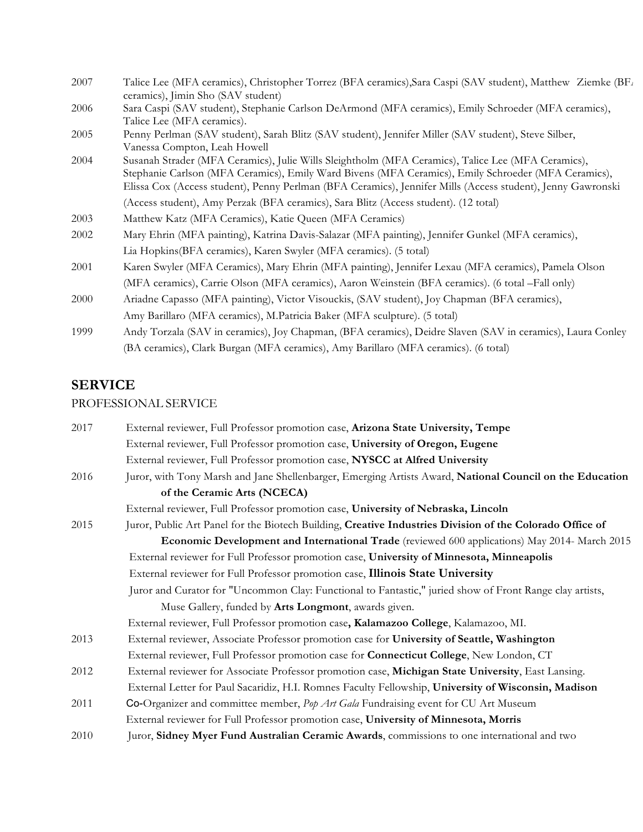| 2007 | Talice Lee (MFA ceramics), Christopher Torrez (BFA ceramics), Sara Caspi (SAV student), Matthew Ziemke (BFA<br>ceramics), Jimin Sho (SAV student)                                                                                                                                                                        |  |
|------|--------------------------------------------------------------------------------------------------------------------------------------------------------------------------------------------------------------------------------------------------------------------------------------------------------------------------|--|
| 2006 | Sara Caspi (SAV student), Stephanie Carlson DeArmond (MFA ceramics), Emily Schroeder (MFA ceramics),<br>Talice Lee (MFA ceramics).                                                                                                                                                                                       |  |
| 2005 | Penny Perlman (SAV student), Sarah Blitz (SAV student), Jennifer Miller (SAV student), Steve Silber,<br>Vanessa Compton, Leah Howell                                                                                                                                                                                     |  |
| 2004 | Susanah Strader (MFA Ceramics), Julie Wills Sleightholm (MFA Ceramics), Talice Lee (MFA Ceramics),<br>Stephanie Carlson (MFA Ceramics), Emily Ward Bivens (MFA Ceramics), Emily Schroeder (MFA Ceramics),<br>Elissa Cox (Access student), Penny Perlman (BFA Ceramics), Jennifer Mills (Access student), Jenny Gawronski |  |
|      | (Access student), Amy Perzak (BFA ceramics), Sara Blitz (Access student). (12 total)                                                                                                                                                                                                                                     |  |
| 2003 | Matthew Katz (MFA Ceramics), Katie Queen (MFA Ceramics)                                                                                                                                                                                                                                                                  |  |
| 2002 | Mary Ehrin (MFA painting), Katrina Davis-Salazar (MFA painting), Jennifer Gunkel (MFA ceramics),                                                                                                                                                                                                                         |  |
|      | Lia Hopkins (BFA ceramics), Karen Swyler (MFA ceramics). (5 total)                                                                                                                                                                                                                                                       |  |
| 2001 | Karen Swyler (MFA Ceramics), Mary Ehrin (MFA painting), Jennifer Lexau (MFA ceramics), Pamela Olson                                                                                                                                                                                                                      |  |
|      | (MFA ceramics), Carrie Olson (MFA ceramics), Aaron Weinstein (BFA ceramics). (6 total -Fall only)                                                                                                                                                                                                                        |  |
| 2000 | Ariadne Capasso (MFA painting), Victor Visouckis, (SAV student), Joy Chapman (BFA ceramics),                                                                                                                                                                                                                             |  |
|      | Amy Barillaro (MFA ceramics), M.Patricia Baker (MFA sculpture). (5 total)                                                                                                                                                                                                                                                |  |
| 1999 | Andy Torzala (SAV in ceramics), Joy Chapman, (BFA ceramics), Deidre Slaven (SAV in ceramics), Laura Conley                                                                                                                                                                                                               |  |
|      | (BA ceramics), Clark Burgan (MFA ceramics), Amy Barillaro (MFA ceramics). (6 total)                                                                                                                                                                                                                                      |  |

# **SERVICE**

# PROFESSIONAL SERVICE

| 2017 | External reviewer, Full Professor promotion case, Arizona State University, Tempe                        |
|------|----------------------------------------------------------------------------------------------------------|
|      | External reviewer, Full Professor promotion case, University of Oregon, Eugene                           |
|      | External reviewer, Full Professor promotion case, NYSCC at Alfred University                             |
| 2016 | Juror, with Tony Marsh and Jane Shellenbarger, Emerging Artists Award, National Council on the Education |
|      | of the Ceramic Arts (NCECA)                                                                              |
|      | External reviewer, Full Professor promotion case, University of Nebraska, Lincoln                        |
| 2015 | Juror, Public Art Panel for the Biotech Building, Creative Industries Division of the Colorado Office of |
|      | Economic Development and International Trade (reviewed 600 applications) May 2014- March 2015            |
|      | External reviewer for Full Professor promotion case, University of Minnesota, Minneapolis                |
|      | External reviewer for Full Professor promotion case, Illinois State University                           |
|      | Juror and Curator for "Uncommon Clay: Functional to Fantastic," juried show of Front Range clay artists, |
|      | Muse Gallery, funded by Arts Longmont, awards given.                                                     |
|      | External reviewer, Full Professor promotion case, Kalamazoo College, Kalamazoo, MI.                      |
| 2013 | External reviewer, Associate Professor promotion case for University of Seattle, Washington              |
|      | External reviewer, Full Professor promotion case for <b>Connecticut College</b> , New London, CT         |
| 2012 | External reviewer for Associate Professor promotion case, Michigan State University, East Lansing.       |
|      | External Letter for Paul Sacaridiz, H.I. Romnes Faculty Fellowship, University of Wisconsin, Madison     |
| 2011 | Co-Organizer and committee member, Pop Art Gala Fundraising event for CU Art Museum                      |
|      | External reviewer for Full Professor promotion case, University of Minnesota, Morris                     |
| 2010 | Juror, Sidney Myer Fund Australian Ceramic Awards, commissions to one international and two              |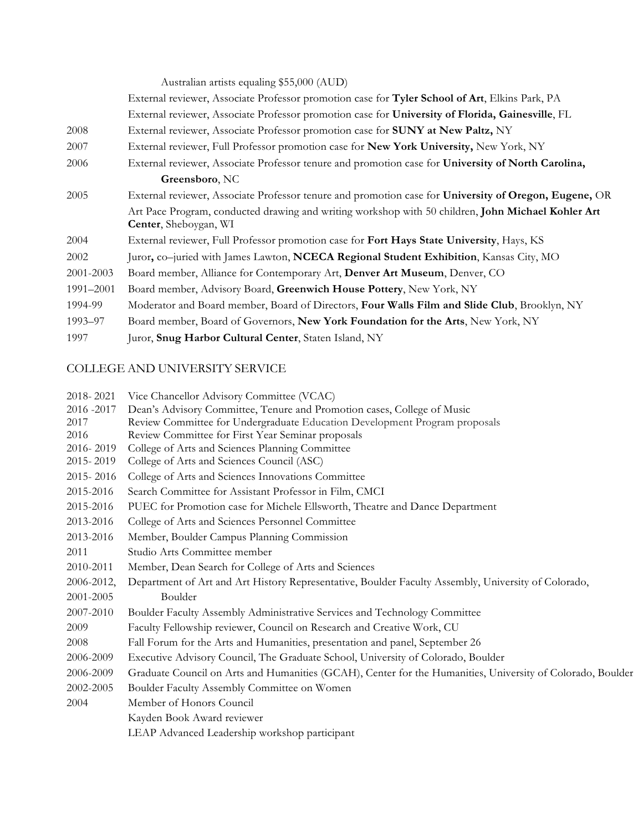Australian artists equaling \$55,000 (AUD)

- External reviewer, Associate Professor promotion case for **Tyler School of Art**, Elkins Park, PA
- External reviewer, Associate Professor promotion case for **University of Florida, Gainesville**, FL
- 2008 External reviewer, Associate Professor promotion case for **SUNY at New Paltz,** NY
- 2007 External reviewer, Full Professor promotion case for **New York University,** New York, NY
- 2006 External reviewer, Associate Professor tenure and promotion case for **University of North Carolina, Greensboro**, NC
- 2005 External reviewer, Associate Professor tenure and promotion case for **University of Oregon, Eugene,** OR Art Pace Program, conducted drawing and writing workshop with 50 children, **John Michael Kohler Art Center**, Sheboygan, WI
- 2004 External reviewer, Full Professor promotion case for **Fort Hays State University**, Hays, KS
- 2002 Juror**,** co–juried with James Lawton, **NCECA Regional Student Exhibition**, Kansas City, MO
- 2001-2003 Board member, Alliance for Contemporary Art, **Denver Art Museum**, Denver, CO
- 1991–2001 Board member, Advisory Board, **Greenwich House Pottery**, New York, NY
- 1994-99 Moderator and Board member, Board of Directors, **Four Walls Film and Slide Club**, Brooklyn, NY
- 1993–97 Board member, Board of Governors, **New York Foundation for the Arts**, New York, NY
- 1997 Juror, **Snug Harbor Cultural Center**, Staten Island, NY

### COLLEGE AND UNIVERSITY SERVICE

- 2018- 2021 Vice Chancellor Advisory Committee (VCAC) 2016 -2017 Dean's Advisory Committee, Tenure and Promotion cases, College of Music 2017 Review Committee for Undergraduate Education Development Program proposals 2016 Review Committee for First Year Seminar proposals 2016- 2019 College of Arts and Sciences Planning Committee 2015- 2019 College of Arts and Sciences Council (ASC) 2015- 2016 College of Arts and Sciences Innovations Committee 2015-2016 Search Committee for Assistant Professor in Film, CMCI 2015-2016 PUEC for Promotion case for Michele Ellsworth, Theatre and Dance Department 2013-2016 College of Arts and Sciences Personnel Committee 2013-2016 Member, Boulder Campus Planning Commission 2011 Studio Arts Committee member 2010-2011 Member, Dean Search for College of Arts and Sciences 2006-2012, Department of Art and Art History Representative, Boulder Faculty Assembly, University of Colorado, 2001-2005 Boulder 2007-2010 Boulder Faculty Assembly Administrative Services and Technology Committee 2009 Faculty Fellowship reviewer, Council on Research and Creative Work, CU 2008 Fall Forum for the Arts and Humanities, presentation and panel, September 26 2006-2009 Executive Advisory Council, The Graduate School, University of Colorado, Boulder 2006-2009 Graduate Council on Arts and Humanities (GCAH), Center for the Humanities, University of Colorado, Boulder 2002-2005 Boulder Faculty Assembly Committee on Women 2004 Member of Honors Council
	- Kayden Book Award reviewer

LEAP Advanced Leadership workshop participant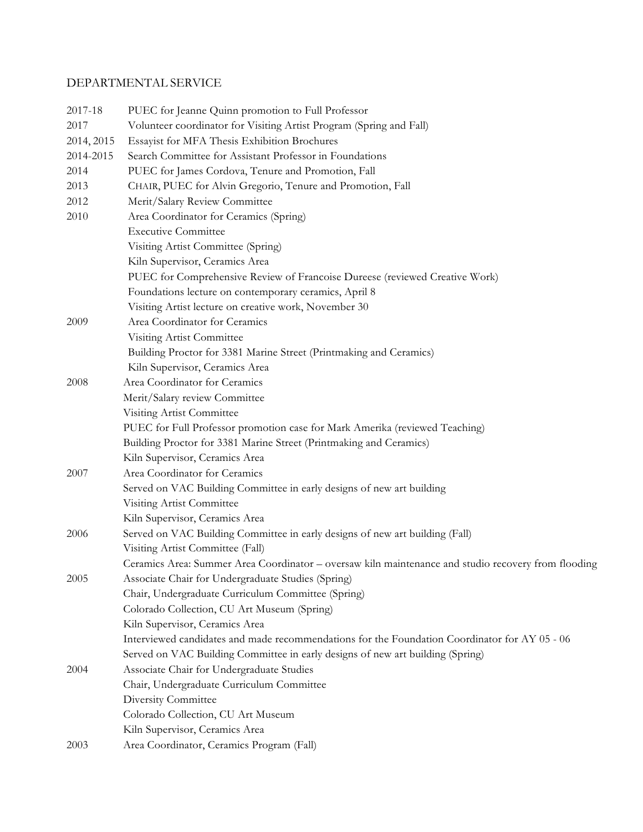# DEPARTMENTAL SERVICE

| 2017-18    | PUEC for Jeanne Quinn promotion to Full Professor                                                   |  |  |
|------------|-----------------------------------------------------------------------------------------------------|--|--|
| 2017       | Volunteer coordinator for Visiting Artist Program (Spring and Fall)                                 |  |  |
| 2014, 2015 | Essayist for MFA Thesis Exhibition Brochures                                                        |  |  |
| 2014-2015  | Search Committee for Assistant Professor in Foundations                                             |  |  |
| 2014       | PUEC for James Cordova, Tenure and Promotion, Fall                                                  |  |  |
| 2013       | CHAIR, PUEC for Alvin Gregorio, Tenure and Promotion, Fall                                          |  |  |
| 2012       | Merit/Salary Review Committee                                                                       |  |  |
| 2010       | Area Coordinator for Ceramics (Spring)                                                              |  |  |
|            | <b>Executive Committee</b>                                                                          |  |  |
|            | Visiting Artist Committee (Spring)                                                                  |  |  |
|            | Kiln Supervisor, Ceramics Area                                                                      |  |  |
|            | PUEC for Comprehensive Review of Francoise Dureese (reviewed Creative Work)                         |  |  |
|            | Foundations lecture on contemporary ceramics, April 8                                               |  |  |
|            | Visiting Artist lecture on creative work, November 30                                               |  |  |
| 2009       | Area Coordinator for Ceramics                                                                       |  |  |
|            | Visiting Artist Committee                                                                           |  |  |
|            | Building Proctor for 3381 Marine Street (Printmaking and Ceramics)                                  |  |  |
|            | Kiln Supervisor, Ceramics Area                                                                      |  |  |
| 2008       | Area Coordinator for Ceramics                                                                       |  |  |
|            | Merit/Salary review Committee                                                                       |  |  |
|            | Visiting Artist Committee                                                                           |  |  |
|            | PUEC for Full Professor promotion case for Mark Amerika (reviewed Teaching)                         |  |  |
|            | Building Proctor for 3381 Marine Street (Printmaking and Ceramics)                                  |  |  |
|            | Kiln Supervisor, Ceramics Area                                                                      |  |  |
| 2007       | Area Coordinator for Ceramics                                                                       |  |  |
|            | Served on VAC Building Committee in early designs of new art building                               |  |  |
|            | Visiting Artist Committee                                                                           |  |  |
|            | Kiln Supervisor, Ceramics Area                                                                      |  |  |
| 2006       | Served on VAC Building Committee in early designs of new art building (Fall)                        |  |  |
|            | Visiting Artist Committee (Fall)                                                                    |  |  |
|            | Ceramics Area: Summer Area Coordinator - oversaw kiln maintenance and studio recovery from flooding |  |  |
| 2005       | Associate Chair for Undergraduate Studies (Spring)                                                  |  |  |
|            | Chair, Undergraduate Curriculum Committee (Spring)                                                  |  |  |
|            | Colorado Collection, CU Art Museum (Spring)                                                         |  |  |
|            | Kiln Supervisor, Ceramics Area                                                                      |  |  |
|            | Interviewed candidates and made recommendations for the Foundation Coordinator for AY 05 - 06       |  |  |
|            | Served on VAC Building Committee in early designs of new art building (Spring)                      |  |  |
| 2004       | Associate Chair for Undergraduate Studies                                                           |  |  |
|            | Chair, Undergraduate Curriculum Committee                                                           |  |  |
|            | Diversity Committee                                                                                 |  |  |
|            | Colorado Collection, CU Art Museum                                                                  |  |  |
|            | Kiln Supervisor, Ceramics Area                                                                      |  |  |
| 2003       | Area Coordinator, Ceramics Program (Fall)                                                           |  |  |